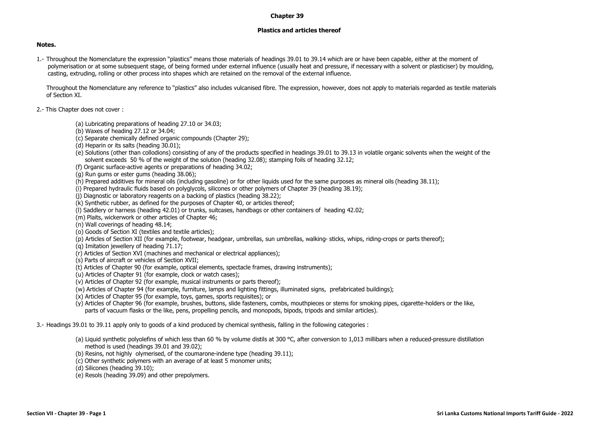## **Chapter 39**

## **Plastics and articles thereof**

## **Notes.**

1.- Throughout the Nomenclature the expression "plastics" means those materials of headings 39.01 to 39.14 which are or have been capable, either at the moment of polymerisation or at some subsequent stage, of being formed under external influence (usually heat and pressure, if necessary with a solvent or plasticiser) by moulding, casting, extruding, rolling or other process into shapes which are retained on the removal of the external influence.

Throughout the Nomenclature any reference to "plastics" also includes vulcanised fibre. The expression, however, does not apply to materials regarded as textile materials of Section XI.

- 2.- This Chapter does not cover :
	- (a) Lubricating preparations of heading 27.10 or 34.03;
	- (b) Waxes of heading 27.12 or 34.04;
	- (c) Separate chemically defined organic compounds (Chapter 29);
	- (d) Heparin or its salts (heading 30.01);
	- (e) Solutions (other than collodions) consisting of any of the products specified in headings 39.01 to 39.13 in volatile organic solvents when the weight of the solvent exceeds 50 % of the weight of the solution (heading 32.08); stamping foils of heading 32.12;
	- (f) Organic surface-active agents or preparations of heading 34.02;
	- (g) Run gums or ester gums (heading 38.06);
	- (h) Prepared additives for mineral oils (including gasoline) or for other liquids used for the same purposes as mineral oils (heading 38.11);
	- (i) Prepared hydraulic fluids based on polyglycols, silicones or other polymers of Chapter 39 (heading 38.19);
	- (j) Diagnostic or laboratory reagents on a backing of plastics (heading 38.22);
	- (k) Synthetic rubber, as defined for the purposes of Chapter 40, or articles thereof;
	- (l) Saddlery or harness (heading 42.01) or trunks, suitcases, handbags or other containers of heading 42.02;
	- (m) Plaits, wickerwork or other articles of Chapter 46;
	- (n) Wall coverings of heading 48.14;
	- (o) Goods of Section XI (textiles and textile articles);
	- (p) Articles of Section XII (for example, footwear, headgear, umbrellas, sun umbrellas, walking- sticks, whips, riding-crops or parts thereof);
	- (q) Imitation jewellery of heading 71.17;
	- (r) Articles of Section XVI (machines and mechanical or electrical appliances);
	- (s) Parts of aircraft or vehicles of Section XVII;
	- (t) Articles of Chapter 90 (for example, optical elements, spectacle frames, drawing instruments);
	- (u) Articles of Chapter 91 (for example, clock or watch cases);
	- (v) Articles of Chapter 92 (for example, musical instruments or parts thereof);
	- (w) Articles of Chapter 94 (for example, furniture, lamps and lighting fittings, illuminated signs, prefabricated buildings);
	- (x) Articles of Chapter 95 (for example, toys, games, sports requisites); or
	- (y) Articles of Chapter 96 (for example, brushes, buttons, slide fasteners, combs, mouthpieces or stems for smoking pipes, cigarette-holders or the like, parts of vacuum flasks or the like, pens, propelling pencils, and monopods, bipods, tripods and similar articles).

3.- Headings 39.01 to 39.11 apply only to goods of a kind produced by chemical synthesis, falling in the following categories :

- (a) Liquid synthetic polyolefins of which less than 60 % by volume distils at 300 °C, after conversion to 1,013 millibars when a reduced-pressure distillation method is used (headings 39.01 and 39.02);
- (b) Resins, not highly olymerised, of the coumarone-indene type (heading 39.11);
- (c) Other synthetic polymers with an average of at least 5 monomer units;
- (d) Silicones (heading 39.10);
- (e) Resols (heading 39.09) and other prepolymers.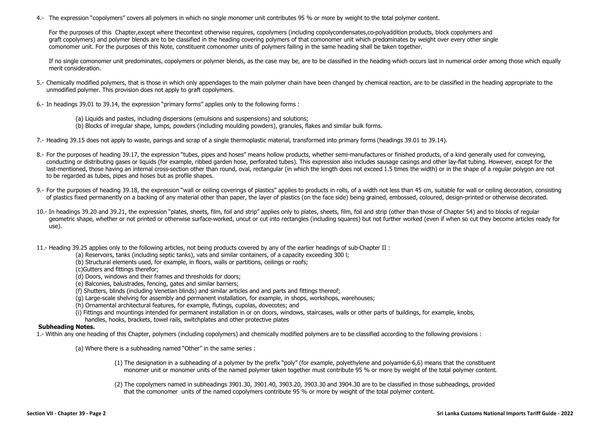4.- The expression "copolymers" covers all polymers in which no single monomer unit contributes 95 % or more by weight to the total polymer content.

For the purposes of this Chapter,except where thecontext otherwise requires, copolymers (including copolycondensates,co-polyaddition products, block copolymers and graft copolymers) and polymer blends are to be classified in the heading covering polymers of that comonomer unit which predominates by weight over every other single comonomer unit. For the purposes of this Note, constituent comonomer units of polymers falling in the same heading shall be taken together.

If no single comonomer unit predominates, copolymers or polymer blends, as the case may be, are to be classified in the heading which occurs last in numerical order among those which equally merit consideration.

- 5.- Chemically modified polymers, that is those in which only appendages to the main polymer chain have been changed by chemical reaction, are to be classified in the heading appropriate to the unmodified polymer. This provision does not apply to graft copolymers.
- 6.- In headings 39.01 to 39.14, the expression "primary forms" applies only to the following forms :
	- (a) Liquids and pastes, including dispersions (emulsions and suspensions) and solutions;
	- (b) Blocks of irregular shape, lumps, powders (including moulding powders), granules, flakes and similar bulk forms.
- 7.- Heading 39.15 does not apply to waste, parings and scrap of a single thermoplastic material, transformed into primary forms (headings 39.01 to 39.14).
- 8.- For the purposes of heading 39.17, the expression "tubes, pipes and hoses" means hollow products, whether semi-manufactures or finished products, of a kind generally used for conveying, conducting or distributing gases or liquids (for example, ribbed garden hose, perforated tubes). This expression also includes sausage casings and other lay-flat tubing. However, except for the last-mentioned, those having an internal cross-section other than round, oval, rectangular (in which the length does not exceed 1.5 times the width) or in the shape of a regular polygon are not to be regarded as tubes, pipes and hoses but as profile shapes.
- 9.- For the purposes of heading 39.18, the expression "wall or ceiling coverings of plastics" applies to products in rolls, of a width not less than 45 cm, suitable for wall or ceiling decoration, consisting of plastics fixed permanently on a backing of any material other than paper, the layer of plastics (on the face side) being grained, embossed, coloured, design-printed or otherwise decorated.
- 10.- In headings 39.20 and 39.21, the expression "plates, sheets, film, foil and strip" applies only to plates, sheets, film, foil and strip (other than those of Chapter 54) and to blocks of regular geometric shape, whether or not printed or otherwise surface-worked, uncut or cut into rectangles (including squares) but not further worked (even if when so cut they become articles ready for use).
- 11.- Heading 39.25 applies only to the following articles, not being products covered by any of the earlier headings of sub-Chapter II :
	- (a) Reservoirs, tanks (including septic tanks), vats and similar containers, of a capacity exceeding 300 l;
	- (b) Structural elements used, for example, in floors, walls or partitions, ceilings or roofs;
	- (c)Gutters and fittings therefor;
	- (d) Doors, windows and their frames and thresholds for doors;
	- (e) Balconies, balustrades, fencing, gates and similar barriers;
	- (f) Shutters, blinds (including Venetian blinds) and similar articles and and parts and fittings thereof;
	- (g) Large-scale shelving for assembly and permanent installation, for example, in shops, workshops, warehouses;
	- (h) Ornamental architectural features, for example, flutings, cupolas, dovecotes; and
	- (i) Fittings and mountings intended for permanent installation in or on doors, windows, staircases, walls or other parts of buildings, for example, knobs,
	- handles, hooks, brackets, towel rails, switchplates and other protective plates

## **Subheading Notes.**

- 1.- Within any one heading of this Chapter, polymers (including copolymers) and chemically modified polymers are to be classified according to the following provisions :
	- (a) Where there is a subheading named "Other" in the same series :
		- (1) The designation in a subheading of a polymer by the prefix "poly" (for example, polyethylene and polyamide-6,6) means that the constituent monomer unit or monomer units of the named polymer taken together must contribute 95 % or more by weight of the total polymer content.
		- (2) The copolymers named in subheadings 3901.30, 3901.40, 3903.20, 3903.30 and 3904.30 are to be classified in those subheadings, provided that the comonomer units of the named copolymers contribute 95 % or more by weight of the total polymer content.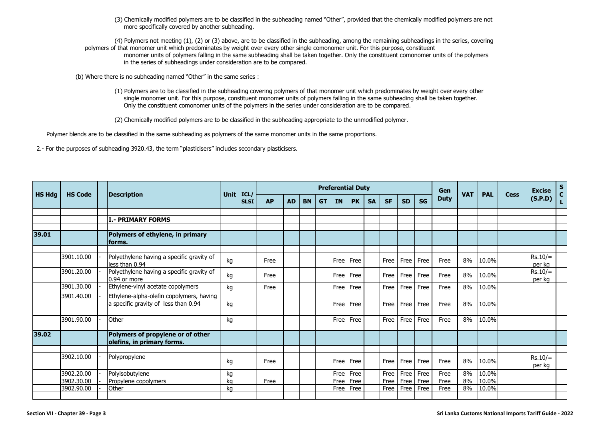(3) Chemically modified polymers are to be classified in the subheading named "Other", provided that the chemically modified polymers are not more specifically covered by another subheading.

(4) Polymers not meeting (1), (2) or (3) above, are to be classified in the subheading, among the remaining subheadings in the series, covering polymers of that monomer unit which predominates by weight over every other single comonomer unit. For this purpose, constituent monomer units of polymers falling in the same subheading shall be taken together. Only the constituent comonomer units of the polymers in the series of subheadings under consideration are to be compared.

(b) Where there is no subheading named "Other" in the same series :

(1) Polymers are to be classified in the subheading covering polymers of that monomer unit which predominates by weight over every other single monomer unit. For this purpose, constituent monomer units of polymers falling in the same subheading shall be taken together. Only the constituent comonomer units of the polymers in the series under consideration are to be compared.

(2) Chemically modified polymers are to be classified in the subheading appropriate to the unmodified polymer.

Polymer blends are to be classified in the same subheading as polymers of the same monomer units in the same proportions.

2.- For the purposes of subheading 3920.43, the term "plasticisers" includes secondary plasticisers.

|               |                |                                                                                  |             |                     |           | <b>Preferential Duty</b> |           |           |           |           |           |             |           |           |             |            | <b>PAL</b> |      | <b>Excise</b>       | $S_{C}$ |
|---------------|----------------|----------------------------------------------------------------------------------|-------------|---------------------|-----------|--------------------------|-----------|-----------|-----------|-----------|-----------|-------------|-----------|-----------|-------------|------------|------------|------|---------------------|---------|
| <b>HS Hdg</b> | <b>HS Code</b> | <b>Description</b>                                                               | <b>Unit</b> | ICL/<br><b>SLSI</b> | <b>AP</b> | <b>AD</b>                | <b>BN</b> | <b>GT</b> | <b>IN</b> | <b>PK</b> | <b>SA</b> | <b>SF</b>   | <b>SD</b> | <b>SG</b> | <b>Duty</b> | <b>VAT</b> |            | Cess | (S.P.D)             | L.      |
|               |                |                                                                                  |             |                     |           |                          |           |           |           |           |           |             |           |           |             |            |            |      |                     |         |
|               |                | <b>I.- PRIMARY FORMS</b>                                                         |             |                     |           |                          |           |           |           |           |           |             |           |           |             |            |            |      |                     |         |
|               |                |                                                                                  |             |                     |           |                          |           |           |           |           |           |             |           |           |             |            |            |      |                     |         |
| 39.01         |                | Polymers of ethylene, in primary<br>forms.                                       |             |                     |           |                          |           |           |           |           |           |             |           |           |             |            |            |      |                     |         |
|               |                |                                                                                  |             |                     |           |                          |           |           |           |           |           |             |           |           |             |            |            |      |                     |         |
|               | 3901.10.00     | Polyethylene having a specific gravity of<br>less than 0.94                      | kg          |                     | Free      |                          |           |           | Free      | Free      |           | Free        | Free      | Free      | Free        | 8%         | 10.0%      |      | $Rs.10/=$<br>per ka |         |
|               | 3901.20.00     | Polyethylene having a specific gravity of<br>0.94 or more                        | kg          |                     | Free      |                          |           |           | Free      | Free      |           | Free I      | Free      | Free      | Free        | 8%         | 10.0%      |      | $Rs.10/=$<br>per kg |         |
|               | 3901.30.00     | Ethylene-vinyl acetate copolymers                                                | kg          |                     | Free      |                          |           |           | Free I    | Free      |           | Free        | Free      | Free      | Free        | 8%         | 10.0%      |      |                     |         |
|               | 3901.40.00     | Ethylene-alpha-olefin copolymers, having<br>a specific gravity of less than 0.94 | kg          |                     |           |                          |           |           | Free      | Free      |           |             | Free Free | Free      | Free        | 8%         | 10.0%      |      |                     |         |
|               | 3901.90.00     | Other                                                                            | kg          |                     |           |                          |           |           | Free      | Free      |           | Free        | Free      | Free      | Free        | 8%         | 10.0%      |      |                     |         |
|               |                |                                                                                  |             |                     |           |                          |           |           |           |           |           |             |           |           |             |            |            |      |                     |         |
| 39.02         |                | Polymers of propylene or of other<br>olefins, in primary forms.                  |             |                     |           |                          |           |           |           |           |           |             |           |           |             |            |            |      |                     |         |
|               |                |                                                                                  |             |                     |           |                          |           |           |           |           |           |             |           |           |             |            |            |      |                     |         |
|               | 3902.10.00     | Polypropylene                                                                    | kg          |                     | Free      |                          |           |           | Free      | Free      |           | <b>Free</b> | Free      | Free      | Free        | 8%         | 10.0%      |      | $Rs.10/=$<br>per kg |         |
|               | 3902.20.00     | Polyisobutylene                                                                  | kq          |                     |           |                          |           |           | Free      | Free      |           | Free        | Free      | Free      | Free        | 8%         | 10.0%      |      |                     |         |
|               | 3902.30.00     | Propylene copolymers                                                             | kq          |                     | Free      |                          |           |           | Free      | Free      |           | Free        | Free      | Free      | Free        | 8%         | 10.0%      |      |                     |         |
|               | 3902.90.00     | Other                                                                            | ka          |                     |           |                          |           |           | Free      | Free      |           | Free        | Free      | Free      | Free        | 8%         | 10.0%      |      |                     |         |
|               |                |                                                                                  |             |                     |           |                          |           |           |           |           |           |             |           |           |             |            |            |      |                     |         |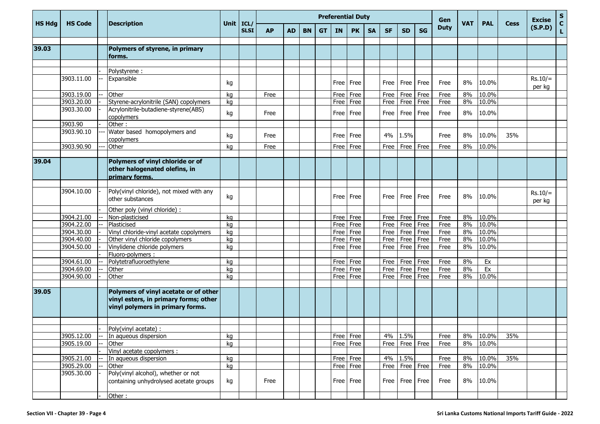|               |                |                                                                                                                    |             |             |           |           |           |           |           | <b>Preferential Duty</b> |           |             |                    |           | Gen         |            |            |             | <b>Excise</b>       | $\mathbf S$        |
|---------------|----------------|--------------------------------------------------------------------------------------------------------------------|-------------|-------------|-----------|-----------|-----------|-----------|-----------|--------------------------|-----------|-------------|--------------------|-----------|-------------|------------|------------|-------------|---------------------|--------------------|
| <b>HS Hdg</b> | <b>HS Code</b> | <b>Description</b>                                                                                                 | Unit $ICL/$ | <b>SLSI</b> | <b>AP</b> | <b>AD</b> | <b>BN</b> | <b>GT</b> | <b>IN</b> | <b>PK</b>                | <b>SA</b> | <b>SF</b>   | <b>SD</b>          | <b>SG</b> | <b>Duty</b> | <b>VAT</b> | <b>PAL</b> | <b>Cess</b> | (S.P.D)             | $\mathbf{C}$<br>L. |
| 39.03         |                | Polymers of styrene, in primary                                                                                    |             |             |           |           |           |           |           |                          |           |             |                    |           |             |            |            |             |                     |                    |
|               |                | forms.                                                                                                             |             |             |           |           |           |           |           |                          |           |             |                    |           |             |            |            |             |                     |                    |
|               |                |                                                                                                                    |             |             |           |           |           |           |           |                          |           |             |                    |           |             |            |            |             |                     |                    |
|               |                | Polystyrene :                                                                                                      |             |             |           |           |           |           |           |                          |           |             |                    |           |             |            |            |             |                     |                    |
|               | 3903.11.00     | Expansible                                                                                                         | kg          |             |           |           |           |           |           | Free   Free              |           | Free        | Free               | Free      | Free        | 8%         | 10.0%      |             | $Rs.10/=$<br>per kg |                    |
|               | 3903.19.00     | Other                                                                                                              | kq          |             | Free      |           |           |           | Free      | Free                     |           | Free        | Free               | Free      | Free        | 8%         | 10.0%      |             |                     |                    |
|               | 3903.20.00     | Styrene-acrylonitrile (SAN) copolymers                                                                             | kg          |             |           |           |           |           | Free      | Free                     |           | Free        | Free               | Free      | Free        | 8%         | 10.0%      |             |                     |                    |
|               | 3903.30.00     | Acrylonitrile-butadiene-styrene(ABS)<br>copolymers                                                                 | kq          |             | Free      |           |           |           |           | Free   Free              |           | Free        | Free               | Free      | Free        | 8%         | 10.0%      |             |                     |                    |
|               | 3903.90        | Other:                                                                                                             |             |             |           |           |           |           |           |                          |           |             |                    |           |             |            |            |             |                     |                    |
|               | 3903.90.10     | Water based homopolymers and<br>copolymers                                                                         | kg          |             | Free      |           |           |           | Free l    | Free                     |           |             | 4% 1.5%            |           | Free        | 8%         | 10.0%      | 35%         |                     |                    |
|               | 3903.90.90     | Other                                                                                                              | kg          |             | Free      |           |           |           |           | Free Free                |           | Free        |                    | Free Free | Free        | 8%         | 10.0%      |             |                     |                    |
|               |                |                                                                                                                    |             |             |           |           |           |           |           |                          |           |             |                    |           |             |            |            |             |                     |                    |
| 39.04         |                | Polymers of vinyl chloride or of<br>other halogenated olefins, in                                                  |             |             |           |           |           |           |           |                          |           |             |                    |           |             |            |            |             |                     |                    |
|               |                | primary forms.                                                                                                     |             |             |           |           |           |           |           |                          |           |             |                    |           |             |            |            |             |                     |                    |
|               | 3904.10.00     | Poly(vinyl chloride), not mixed with any<br>other substances                                                       | kg          |             |           |           |           |           |           | Free Free                |           | <b>Free</b> | Free               | Free      | Free        | 8%         | 10.0%      |             | $Rs.10/=$<br>per kg |                    |
|               |                | Other poly (vinyl chloride) :                                                                                      |             |             |           |           |           |           |           |                          |           |             |                    |           |             |            |            |             |                     |                    |
|               | 3904.21.00     | Non-plasticised                                                                                                    | kg          |             |           |           |           |           |           | Free Free                |           | Free        |                    | Free Free | Free        | 8%         | 10.0%      |             |                     |                    |
|               | 3904.22.00     | Plasticised                                                                                                        | kg          |             |           |           |           |           | Free      | Free                     |           | Free        | Free               | Free      | Free        | 8%         | 10.0%      |             |                     |                    |
|               | 3904.30.00     | Vinyl chloride-vinyl acetate copolymers                                                                            | kg          |             |           |           |           |           |           | Free   Free              |           | Free        |                    | Free Free | Free        | 8%         | 10.0%      |             |                     |                    |
|               | 3904.40.00     | Other vinyl chloride copolymers                                                                                    | kg          |             |           |           |           |           | Free      | Free                     |           | Free        | Free               | Free      | Free        | 8%         | 10.0%      |             |                     |                    |
|               | 3904.50.00     | Vinylidene chloride polymers                                                                                       | kg          |             |           |           |           |           | Free      | Free                     |           | Free        | Free               | Free      | Free        | 8%         | 10.0%      |             |                     |                    |
|               |                | Fluoro-polymers :                                                                                                  |             |             |           |           |           |           |           |                          |           |             |                    |           |             |            |            |             |                     |                    |
|               | 3904.61.00     | Polytetrafluoroethylene                                                                                            | kg          |             |           |           |           |           |           | Free   Free              |           | Free        | Free               | Free      | Free        | 8%         | Ex         |             |                     |                    |
|               | 3904.69.00     | Other                                                                                                              | kg          |             |           |           |           |           | Free      | Free                     |           | Free        | Free               | Free      | Free        | 8%         | Ex         |             |                     |                    |
|               | 3904.90.00     | Other                                                                                                              | kg          |             |           |           |           |           | Free l    | Free                     |           | Free        | Free               | Free      | Free        | 8%         | 10.0%      |             |                     |                    |
| 39.05         |                | Polymers of vinyl acetate or of other<br>vinyl esters, in primary forms; other<br>vinyl polymers in primary forms. |             |             |           |           |           |           |           |                          |           |             |                    |           |             |            |            |             |                     |                    |
|               |                |                                                                                                                    |             |             |           |           |           |           |           |                          |           |             |                    |           |             |            |            |             |                     |                    |
|               |                | Polv(vinvl acetate) :                                                                                              |             |             |           |           |           |           |           |                          |           |             |                    |           |             |            |            |             |                     |                    |
|               | 3905.12.00     | In aqueous dispersion                                                                                              | kg          |             |           |           |           |           |           | Free Free                |           | 4%          | 1.5%               |           | Free        | 8%         | 10.0%      | 35%         |                     |                    |
|               | 3905.19.00     | Other                                                                                                              | kg          |             |           |           |           |           |           | Free Free                |           | Free        |                    | Free Free | Free        | 8%         | 10.0%      |             |                     |                    |
|               |                | Vinyl acetate copolymers :                                                                                         |             |             |           |           |           |           |           |                          |           |             |                    |           |             |            |            |             |                     |                    |
|               | 3905.21.00     | In aqueous dispersion                                                                                              | kg          |             |           |           |           |           |           | Free Free                |           |             | 4% 1.5%            |           | Free        | 8%         | 10.0%      | 35%         |                     |                    |
|               | 3905.29.00     | Other                                                                                                              | kg          |             |           |           |           |           |           | $Free$ Free              |           |             | Free   Free   Free |           | Free        | 8%         | 10.0%      |             |                     |                    |
|               | 3905.30.00     | Poly(vinyl alcohol), whether or not<br>containing unhydrolysed acetate groups                                      | kg          |             | Free      |           |           |           |           | Free Free                |           |             | Free   Free   Free |           | Free        | 8%         | 10.0%      |             |                     |                    |
|               |                | Other:                                                                                                             |             |             |           |           |           |           |           |                          |           |             |                    |           |             |            |            |             |                     |                    |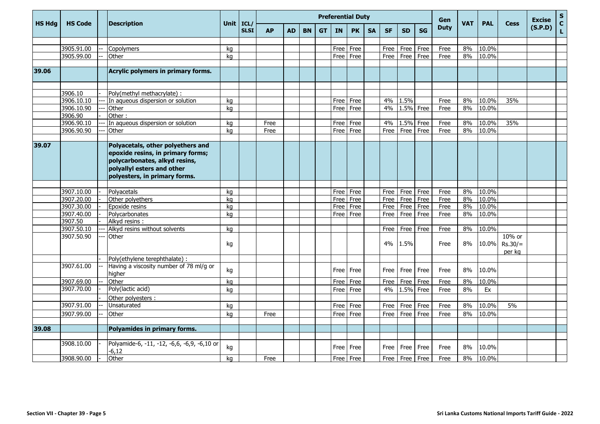|               |                |                                                                                                                                                                        |      |                     | <b>Preferential Duty</b> |           |           |           |             |             |           |             |           |           | Gen         |            |            |                               | <b>Excise</b> | ${\sf s}$          |
|---------------|----------------|------------------------------------------------------------------------------------------------------------------------------------------------------------------------|------|---------------------|--------------------------|-----------|-----------|-----------|-------------|-------------|-----------|-------------|-----------|-----------|-------------|------------|------------|-------------------------------|---------------|--------------------|
| <b>HS Hdg</b> | <b>HS Code</b> | <b>Description</b>                                                                                                                                                     | Unit | ICL/<br><b>SLSI</b> | <b>AP</b>                | <b>AD</b> | <b>BN</b> | <b>GT</b> | <b>IN</b>   | <b>PK</b>   | <b>SA</b> | <b>SF</b>   | <b>SD</b> | <b>SG</b> | <b>Duty</b> | <b>VAT</b> | <b>PAL</b> | <b>Cess</b>                   | (S.P.D)       | $\mathbf{C}$<br>L. |
|               |                |                                                                                                                                                                        |      |                     |                          |           |           |           |             |             |           |             |           |           |             |            |            |                               |               |                    |
|               | 3905.91.00     | Copolymers                                                                                                                                                             | kg   |                     |                          |           |           |           | Free        | Free        |           | Free        | Free      | Free      | Free        | 8%         | 10.0%      |                               |               |                    |
|               | 3905.99.00     | Other                                                                                                                                                                  | ka   |                     |                          |           |           |           | Free Free   |             |           | Free        | Free      | Free      | Free        | 8%         | 10.0%      |                               |               |                    |
|               |                |                                                                                                                                                                        |      |                     |                          |           |           |           |             |             |           |             |           |           |             |            |            |                               |               |                    |
| 39.06         |                | Acrylic polymers in primary forms.                                                                                                                                     |      |                     |                          |           |           |           |             |             |           |             |           |           |             |            |            |                               |               |                    |
|               |                |                                                                                                                                                                        |      |                     |                          |           |           |           |             |             |           |             |           |           |             |            |            |                               |               |                    |
|               | 3906.10        | Poly(methyl methacrylate) :                                                                                                                                            |      |                     |                          |           |           |           |             |             |           |             |           |           |             |            |            |                               |               |                    |
|               | 3906.10.10     | In aqueous dispersion or solution                                                                                                                                      | kg   |                     |                          |           |           |           | Free Free   |             |           | 4%          | 1.5%      |           | Free        | 8%         | 10.0%      | 35%                           |               |                    |
|               | 3906.10.90     | Other                                                                                                                                                                  | ka   |                     |                          |           |           |           | <b>Free</b> | Free        |           | 4%          | 1.5% Free |           | Free        | 8%         | 10.0%      |                               |               |                    |
|               | 3906.90        | Other:                                                                                                                                                                 |      |                     |                          |           |           |           |             |             |           |             |           |           |             |            |            |                               |               |                    |
|               | 3906.90.10     | In aqueous dispersion or solution                                                                                                                                      | ka   |                     | Free                     |           |           |           | <b>Free</b> | Free        |           | 4%          | 1.5%      | Free      | Free        | 8%         | 10.0%      | 35%                           |               |                    |
|               | 3906.90.90     | Other                                                                                                                                                                  | ka   |                     | Free                     |           |           |           | Free l      | Free        |           | Free        | Free      | Free      | Free        | 8%         | 10.0%      |                               |               |                    |
|               |                |                                                                                                                                                                        |      |                     |                          |           |           |           |             |             |           |             |           |           |             |            |            |                               |               |                    |
| 39.07         |                | Polyacetals, other polyethers and<br>epoxide resins, in primary forms;<br>polycarbonates, alkyd resins,<br>polyallyl esters and other<br>polyesters, in primary forms. |      |                     |                          |           |           |           |             |             |           |             |           |           |             |            |            |                               |               |                    |
|               |                |                                                                                                                                                                        |      |                     |                          |           |           |           |             |             |           |             |           |           |             |            |            |                               |               |                    |
|               | 3907.10.00     | Polyacetals                                                                                                                                                            | ka   |                     |                          |           |           |           | <b>Free</b> | Free        |           | Free        | Free      | Free      | Free        | 8%         | 10.0%      |                               |               |                    |
|               | 3907.20.00     | Other polyethers                                                                                                                                                       | ka   |                     |                          |           |           |           | Free        | Free        |           | Free        | Free      | Free      | Free        | 8%         | 10.0%      |                               |               |                    |
|               | 3907.30.00     | Epoxide resins                                                                                                                                                         | kg   |                     |                          |           |           |           | Free        | Free        |           | Free        | Free      | Free      | Free        | 8%         | 10.0%      |                               |               |                    |
|               | 3907.40.00     | Polycarbonates                                                                                                                                                         | kg   |                     |                          |           |           |           | Free l      | Free        |           | Free        | Free      | Free      | Free        | 8%         | 10.0%      |                               |               |                    |
|               | 3907.50        | Alkyd resins :                                                                                                                                                         |      |                     |                          |           |           |           |             |             |           |             |           |           |             |            |            |                               |               |                    |
|               | 3907.50.10     | Alkyd resins without solvents                                                                                                                                          | kg   |                     |                          |           |           |           |             |             |           | Free        | Free      | Free      | Free        | 8%         | 10.0%      |                               |               |                    |
|               | 3907.50.90     | Other                                                                                                                                                                  | kg   |                     |                          |           |           |           |             |             |           | 4%          | 1.5%      |           | Free        | 8%         | 10.0%      | 10% or<br>$Rs.30/=$<br>per kg |               |                    |
|               |                | Poly(ethylene terephthalate) :                                                                                                                                         |      |                     |                          |           |           |           |             |             |           |             |           |           |             |            |            |                               |               |                    |
|               | 3907.61.00     | Having a viscosity number of 78 ml/g or<br>higher                                                                                                                      | kg   |                     |                          |           |           |           |             | Free l Free |           | Free        | Free      | Free      | Free        | 8%         | 10.0%      |                               |               |                    |
|               | 3907.69.00     | Other                                                                                                                                                                  | kg   |                     |                          |           |           |           | Free        | Free        |           | Free        | Free      | Free      | Free        | 8%         | 10.0%      |                               |               |                    |
|               | 3907.70.00     | Poly(lactic acid)                                                                                                                                                      | kg   |                     |                          |           |           |           | Free        | Free        |           | 4%          | 1.5%      | Free      | Free        | 8%         | Ex         |                               |               |                    |
|               |                | Other polyesters :                                                                                                                                                     |      |                     |                          |           |           |           |             |             |           |             |           |           |             |            |            |                               |               |                    |
|               | 3907.91.00     | Unsaturated                                                                                                                                                            | kg   |                     |                          |           |           |           | Free        | Free        |           | Free        | Free      | Free      | Free        | 8%         | 10.0%      | 5%                            |               |                    |
|               | 3907.99.00     | Other                                                                                                                                                                  | kg   |                     | Free                     |           |           |           | Free        | Free        |           | Free        | Free      | Free      | Free        | 8%         | 10.0%      |                               |               |                    |
|               |                |                                                                                                                                                                        |      |                     |                          |           |           |           |             |             |           |             |           |           |             |            |            |                               |               |                    |
| 39.08         |                | Polyamides in primary forms.                                                                                                                                           |      |                     |                          |           |           |           |             |             |           |             |           |           |             |            |            |                               |               |                    |
|               |                |                                                                                                                                                                        |      |                     |                          |           |           |           |             |             |           |             |           |           |             |            |            |                               |               |                    |
|               | 3908.10.00     | Polyamide-6, -11, -12, -6,6, -6,9, -6,10 or<br>$-6.12$                                                                                                                 | kg   |                     |                          |           |           |           | Free l      | Free        |           | Free        | Free      | Free      | Free        | 8%         | 10.0%      |                               |               |                    |
|               | 3908.90.00     | Other                                                                                                                                                                  | ka   |                     | Free                     |           |           |           | Free Free   |             |           | <b>Free</b> | Free Free |           | Free        | 8%         | 10.0%      |                               |               |                    |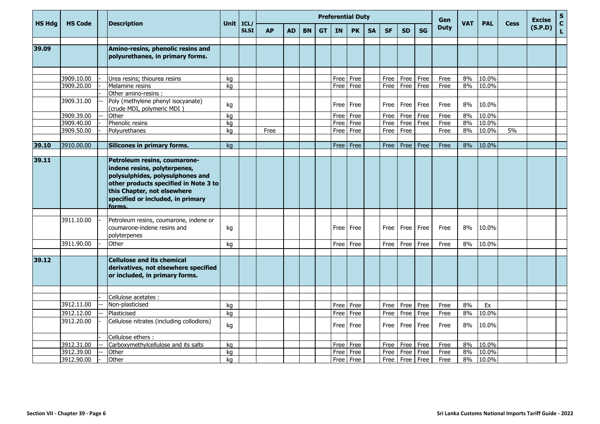|               |                |                                                                                                                                                                                                                                                                                                  |          |                     |           |           |           |           | <b>Preferential Duty</b> |              |           | Gen       |           |           |              | <b>Excise</b> | $\mathbf S$ |             |         |                   |
|---------------|----------------|--------------------------------------------------------------------------------------------------------------------------------------------------------------------------------------------------------------------------------------------------------------------------------------------------|----------|---------------------|-----------|-----------|-----------|-----------|--------------------------|--------------|-----------|-----------|-----------|-----------|--------------|---------------|-------------|-------------|---------|-------------------|
| <b>HS Hdg</b> | <b>HS Code</b> | <b>Description</b>                                                                                                                                                                                                                                                                               | Unit     | ICL/<br><b>SLSI</b> | <b>AP</b> | <b>AD</b> | <b>BN</b> | <b>GT</b> | <b>IN</b>                | <b>PK</b>    | <b>SA</b> | <b>SF</b> | <b>SD</b> | <b>SG</b> | <b>Duty</b>  | <b>VAT</b>    | <b>PAL</b>  | <b>Cess</b> | (S.P.D) | $\mathbf{C}$<br>L |
| 39.09         |                | Amino-resins, phenolic resins and                                                                                                                                                                                                                                                                |          |                     |           |           |           |           |                          |              |           |           |           |           |              |               |             |             |         |                   |
|               |                | polyurethanes, in primary forms.                                                                                                                                                                                                                                                                 |          |                     |           |           |           |           |                          |              |           |           |           |           |              |               |             |             |         |                   |
|               | 3909.10.00     | Urea resins; thiourea resins                                                                                                                                                                                                                                                                     |          |                     |           |           |           |           |                          |              |           | Free      | Free      | Free      |              | 8%            | 10.0%       |             |         |                   |
|               | 3909.20.00     | Melamine resins                                                                                                                                                                                                                                                                                  | ka<br>ka |                     |           |           |           |           | Free I<br>Free           | Free<br>Free |           | Free      | Free      | Free      | Free<br>Free | 8%            | 10.0%       |             |         |                   |
|               |                | Other amino-resins :                                                                                                                                                                                                                                                                             |          |                     |           |           |           |           |                          |              |           |           |           |           |              |               |             |             |         |                   |
|               | 3909.31.00     | Poly (methylene phenyl isocyanate)<br>(crude MDI, polymeric MDI)                                                                                                                                                                                                                                 | kg       |                     |           |           |           |           | Free                     | Free         |           | Free      | Free      | Free      | Free         | 8%            | 10.0%       |             |         |                   |
|               | 3909.39.00     | Other                                                                                                                                                                                                                                                                                            | kg       |                     |           |           |           |           | Free                     | Free         |           | Free      | Free      | Free      | Free         | 8%            | 10.0%       |             |         |                   |
|               | 3909.40.00     | Phenolic resins                                                                                                                                                                                                                                                                                  | kg       |                     |           |           |           |           | Free                     | Free         |           | Free      | Free Free |           | Free         | 8%            | 10.0%       |             |         |                   |
|               | 3909.50.00     | Polyurethanes                                                                                                                                                                                                                                                                                    | ka       |                     | Free      |           |           |           | Free                     | Free         |           | Free      | Free      |           | Free         | 8%            | 10.0%       | 5%          |         |                   |
|               |                |                                                                                                                                                                                                                                                                                                  |          |                     |           |           |           |           |                          |              |           |           |           |           |              |               |             |             |         |                   |
| 39.10         | 3910.00.00     | Silicones in primary forms.                                                                                                                                                                                                                                                                      | ka       |                     |           |           |           |           | Free l                   | Free         |           | Free      | Free      | Free      | Free         | 8%            | 10.0%       |             |         |                   |
| 39.11         | 3911.10.00     | Petroleum resins, coumarone-<br>indene resins, polyterpenes,<br>polysulphides, polysulphones and<br>other products specified in Note 3 to<br>this Chapter, not elsewhere<br>specified or included, in primary<br>forms.<br>Petroleum resins, coumarone, indene or<br>coumarone-indene resins and | kg       |                     |           |           |           |           |                          | Free Free    |           | Free      | Free      | Free      | Free         | 8%            | 10.0%       |             |         |                   |
|               |                | polyterpenes                                                                                                                                                                                                                                                                                     |          |                     |           |           |           |           |                          |              |           |           |           |           |              |               |             |             |         |                   |
|               | 3911.90.00     | Other                                                                                                                                                                                                                                                                                            | kg       |                     |           |           |           |           | Free                     | Free         |           | Free      | Free      | Free      | Free         | 8%            | 10.0%       |             |         |                   |
|               |                |                                                                                                                                                                                                                                                                                                  |          |                     |           |           |           |           |                          |              |           |           |           |           |              |               |             |             |         |                   |
| 39.12         |                | <b>Cellulose and its chemical</b><br>derivatives, not elsewhere specified<br>or included, in primary forms.                                                                                                                                                                                      |          |                     |           |           |           |           |                          |              |           |           |           |           |              |               |             |             |         |                   |
|               |                |                                                                                                                                                                                                                                                                                                  |          |                     |           |           |           |           |                          |              |           |           |           |           |              |               |             |             |         |                   |
|               |                | Cellulose acetates :                                                                                                                                                                                                                                                                             |          |                     |           |           |           |           |                          |              |           |           |           |           |              |               |             |             |         |                   |
|               | 3912.11.00     | Non-plasticised                                                                                                                                                                                                                                                                                  | kg       |                     |           |           |           |           | Free                     | Free         |           | Free      | Free      | Free      | Free         | 8%            | Ex          |             |         |                   |
|               | 3912.12.00     | Plasticised                                                                                                                                                                                                                                                                                      | kg       |                     |           |           |           |           | Free                     | Free         |           | Free      | Free      | Free      | Free         | 8%            | 10.0%       |             |         |                   |
|               | 3912.20.00     | Cellulose nitrates (including collodions)                                                                                                                                                                                                                                                        | kg       |                     |           |           |           |           | Free l                   | Free         |           | Free      | Free      | Free      | Free         | 8%            | 10.0%       |             |         |                   |
|               |                | Cellulose ethers :                                                                                                                                                                                                                                                                               |          |                     |           |           |           |           |                          |              |           |           |           |           |              |               |             |             |         |                   |
|               | 3912.31.00     | Carboxymethylcellulose and its salts                                                                                                                                                                                                                                                             | ka       |                     |           |           |           |           | Free                     | Free         |           | Free      | Free      | Free      | Free         | 8%            | 10.0%       |             |         |                   |
|               | 3912.39.00     | Other                                                                                                                                                                                                                                                                                            | kg       |                     |           |           |           |           | Free                     | Free         |           | Free      | Free Free |           | Free         | 8%            | 10.0%       |             |         |                   |
|               | 3912.90.00     | Other                                                                                                                                                                                                                                                                                            | kg       |                     |           |           |           |           | Free                     | Free         |           | Free      | Free Free |           | Free         | 8%            | 10.0%       |             |         |                   |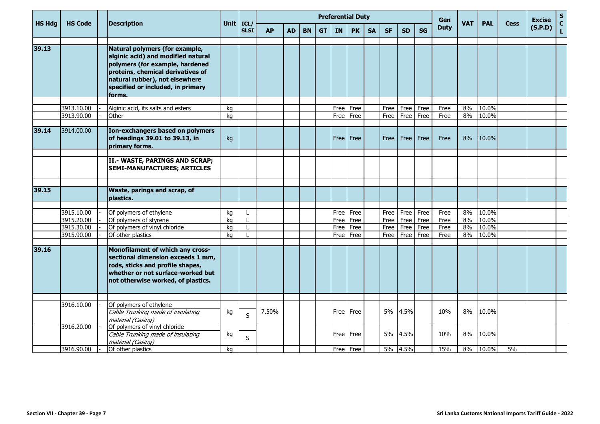|               |                          |                                                                                                                                                                                                                               |             |              | <b>Preferential Duty</b> |           |           |           |              |              |           |              |                                 |           | Gen          |            |                |             | <b>Excise</b> | ${\sf s}$                                                                                                                   |
|---------------|--------------------------|-------------------------------------------------------------------------------------------------------------------------------------------------------------------------------------------------------------------------------|-------------|--------------|--------------------------|-----------|-----------|-----------|--------------|--------------|-----------|--------------|---------------------------------|-----------|--------------|------------|----------------|-------------|---------------|-----------------------------------------------------------------------------------------------------------------------------|
| <b>HS Hdg</b> | <b>HS Code</b>           | <b>Description</b>                                                                                                                                                                                                            | Unit $ICL/$ | <b>SLSI</b>  | <b>AP</b>                | <b>AD</b> | <b>BN</b> | <b>GT</b> | <b>IN</b>    | <b>PK</b>    | <b>SA</b> | <b>SF</b>    | <b>SD</b>                       | <b>SG</b> | <b>Duty</b>  | <b>VAT</b> | <b>PAL</b>     | <b>Cess</b> | (S.P.D)       | $\mathbf{C}$<br>$\mathsf{L}% _{0}\left( \mathsf{L}_{0}\right) ^{\ast }=\mathsf{L}_{0}\left( \mathsf{L}_{0}\right) ^{\ast }$ |
| 39.13         |                          | Natural polymers (for example,<br>alginic acid) and modified natural<br>polymers (for example, hardened<br>proteins, chemical derivatives of<br>natural rubber), not elsewhere<br>specified or included, in primary<br>forms. |             |              |                          |           |           |           |              |              |           |              |                                 |           |              |            |                |             |               |                                                                                                                             |
|               | 3913.10.00               | Alginic acid, its salts and esters                                                                                                                                                                                            | kg          |              |                          |           |           |           | Free         | Free         |           | Free         | Free                            | Free      | Free         | 8%         | 10.0%          |             |               |                                                                                                                             |
|               | 3913.90.00               | Other                                                                                                                                                                                                                         | ka          |              |                          |           |           |           | Free         | Free         |           | Free         | Free                            | Free      | Free         | 8%         | 10.0%          |             |               |                                                                                                                             |
|               |                          |                                                                                                                                                                                                                               |             |              |                          |           |           |           |              |              |           |              |                                 |           |              |            |                |             |               |                                                                                                                             |
| 39.14         | 3914.00.00               | Ion-exchangers based on polymers<br>of headings 39.01 to 39.13, in<br>primary forms.                                                                                                                                          | kg          |              |                          |           |           |           |              | Free   Free  |           | Free         | Free   Free                     |           | Free         | 8%         | 10.0%          |             |               |                                                                                                                             |
|               |                          | II.- WASTE, PARINGS AND SCRAP;<br><b>SEMI-MANUFACTURES; ARTICLES</b>                                                                                                                                                          |             |              |                          |           |           |           |              |              |           |              |                                 |           |              |            |                |             |               |                                                                                                                             |
|               |                          |                                                                                                                                                                                                                               |             |              |                          |           |           |           |              |              |           |              |                                 |           |              |            |                |             |               |                                                                                                                             |
| 39.15         |                          | Waste, parings and scrap, of<br>plastics.                                                                                                                                                                                     |             |              |                          |           |           |           |              |              |           |              |                                 |           |              |            |                |             |               |                                                                                                                             |
|               |                          |                                                                                                                                                                                                                               |             |              |                          |           |           |           |              |              |           |              |                                 |           |              |            |                |             |               |                                                                                                                             |
|               | 3915.10.00<br>3915.20.00 | Of polymers of ethylene                                                                                                                                                                                                       | ka          | $\mathbf{I}$ |                          |           |           |           | Free         | Free         |           |              | Free   Free   Free<br>Free Free |           | Free         | 8%<br>8%   | 10.0%<br>10.0% |             |               |                                                                                                                             |
|               | 3915.30.00               | Of polymers of styrene<br>Of polymers of vinyl chloride                                                                                                                                                                       | ka<br>kg    |              |                          |           |           |           | Free<br>Free | Free<br>Free |           | Free<br>Free | Free                            | Free      | Free<br>Free | 8%         | 10.0%          |             |               |                                                                                                                             |
|               | 3915.90.00               | Of other plastics                                                                                                                                                                                                             | ka          |              |                          |           |           |           | Free I       | Free         |           | Free         | Free                            | Free      | Free         | 8%         | 10.0%          |             |               |                                                                                                                             |
|               |                          |                                                                                                                                                                                                                               |             |              |                          |           |           |           |              |              |           |              |                                 |           |              |            |                |             |               |                                                                                                                             |
| 39.16         |                          | Monofilament of which any cross-<br>sectional dimension exceeds 1 mm,<br>rods, sticks and profile shapes,<br>whether or not surface-worked but<br>not otherwise worked, of plastics.                                          |             |              |                          |           |           |           |              |              |           |              |                                 |           |              |            |                |             |               |                                                                                                                             |
|               |                          |                                                                                                                                                                                                                               |             |              |                          |           |           |           |              |              |           |              |                                 |           |              |            |                |             |               |                                                                                                                             |
|               | 3916.10.00               | Of polymers of ethylene<br>Cable Trunking made of insulating<br>material (Casing)                                                                                                                                             | kg          | S            | 7.50%                    |           |           |           |              | Free Free    |           |              | 5% 4.5%                         |           | 10%          | 8%         | 10.0%          |             |               |                                                                                                                             |
|               | 3916.20.00               | Of polymers of vinyl chloride<br>Cable Trunking made of insulating<br>material (Casing)                                                                                                                                       | kg          | $\sf S$      |                          |           |           |           | Free I       | Free         |           | <b>5%</b>    | 4.5%                            |           | 10%          | 8%         | 10.0%          |             |               |                                                                                                                             |
|               | 3916.90.00               | Of other plastics                                                                                                                                                                                                             | ka          |              |                          |           |           |           |              | Free Free    |           |              | 5% 4.5%                         |           | 15%          | 8%         | 10.0%          | 5%          |               |                                                                                                                             |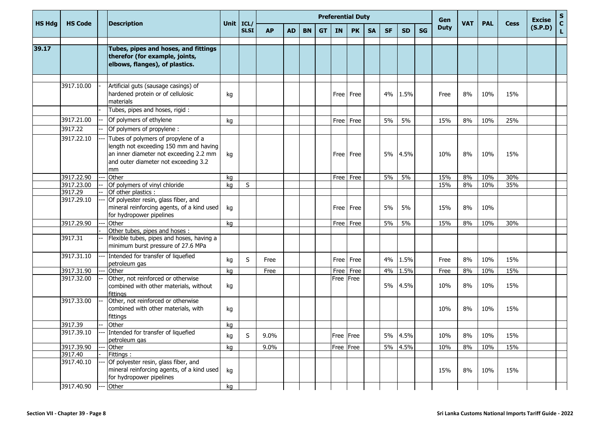|               |                |                                                                                                                                                                       |    |                            |           |           |           |           |             | <b>Preferential Duty</b> |           |           |           |           | Gen         |            |            |             | <b>Excise</b> | ${\sf s}$          |
|---------------|----------------|-----------------------------------------------------------------------------------------------------------------------------------------------------------------------|----|----------------------------|-----------|-----------|-----------|-----------|-------------|--------------------------|-----------|-----------|-----------|-----------|-------------|------------|------------|-------------|---------------|--------------------|
| <b>HS Hdg</b> | <b>HS Code</b> | <b>Description</b>                                                                                                                                                    |    | Unit $ICL/$<br><b>SLSI</b> | <b>AP</b> | <b>AD</b> | <b>BN</b> | <b>GT</b> | <b>IN</b>   | <b>PK</b>                | <b>SA</b> | <b>SF</b> | <b>SD</b> | <b>SG</b> | <b>Duty</b> | <b>VAT</b> | <b>PAL</b> | <b>Cess</b> | (S.P.D)       | $\mathbf{C}$<br>L. |
| 39.17         |                | Tubes, pipes and hoses, and fittings<br>therefor (for example, joints,<br>elbows, flanges), of plastics.                                                              |    |                            |           |           |           |           |             |                          |           |           |           |           |             |            |            |             |               |                    |
|               | 3917.10.00     | Artificial guts (sausage casings) of<br>hardened protein or of cellulosic<br>materials<br>Tubes, pipes and hoses, rigid:                                              | kg |                            |           |           |           |           |             | Free Free                |           | 4%        | 1.5%      |           | Free        | 8%         | 10%        | 15%         |               |                    |
|               | 3917.21.00     | Of polymers of ethylene                                                                                                                                               | kg |                            |           |           |           |           | Free I      | Free                     |           | 5%        | 5%        |           | 15%         | 8%         | 10%        | 25%         |               |                    |
|               | 3917.22        | Of polymers of propylene:                                                                                                                                             |    |                            |           |           |           |           |             |                          |           |           |           |           |             |            |            |             |               |                    |
|               | 3917.22.10     | Tubes of polymers of propylene of a<br>length not exceeding 150 mm and having<br>an inner diameter not exceeding 2.2 mm<br>and outer diameter not exceeding 3.2<br>mm | kg |                            |           |           |           |           |             | Free Free                |           |           | 5% 4.5%   |           | 10%         | 8%         | 10%        | 15%         |               |                    |
|               | 3917.22.90     | Other                                                                                                                                                                 | kg |                            |           |           |           |           |             | Free Free                |           | 5%        | 5%        |           | 15%         | 8%         | 10%        | 30%         |               |                    |
|               | 3917.23.00     | Of polymers of vinyl chloride                                                                                                                                         | ka | S                          |           |           |           |           |             |                          |           |           |           |           | 15%         | 8%         | 10%        | 35%         |               |                    |
|               | 3917.29        | Of other plastics :                                                                                                                                                   |    |                            |           |           |           |           |             |                          |           |           |           |           |             |            |            |             |               |                    |
|               | 3917.29.10     | Of polyester resin, glass fiber, and<br>mineral reinforcing agents, of a kind used<br>for hydropower pipelines                                                        | kg |                            |           |           |           |           |             | Free Free                |           | 5%        | 5%        |           | 15%         | 8%         | 10%        |             |               |                    |
|               | 3917.29.90     | Other                                                                                                                                                                 | kg |                            |           |           |           |           |             | Free Free                |           | 5%        | 5%        |           | 15%         | 8%         | 10%        | 30%         |               |                    |
|               |                | Other tubes, pipes and hoses:                                                                                                                                         |    |                            |           |           |           |           |             |                          |           |           |           |           |             |            |            |             |               |                    |
|               | 3917.31        | Flexible tubes, pipes and hoses, having a<br>minimum burst pressure of 27.6 MPa                                                                                       |    |                            |           |           |           |           |             |                          |           |           |           |           |             |            |            |             |               |                    |
|               | 3917.31.10     | Intended for transfer of liquefied<br>petroleum gas                                                                                                                   | kg | S                          | Free      |           |           |           | Free I      | Free                     |           | 4%        | 1.5%      |           | Free        | 8%         | 10%        | 15%         |               |                    |
|               | 3917.31.90     | Other                                                                                                                                                                 | ka |                            | Free      |           |           |           | Free        | Free                     |           | 4%        | 1.5%      |           | Free        | 8%         | 10%        | 15%         |               |                    |
|               | 3917.32.00     | Other, not reinforced or otherwise<br>combined with other materials, without<br>fittings                                                                              | kg |                            |           |           |           |           | Free   Free |                          |           |           | 5% 4.5%   |           | 10%         | 8%         | 10%        | 15%         |               |                    |
|               | 3917.33.00     | Other, not reinforced or otherwise<br>combined with other materials, with<br>fittings                                                                                 | kg |                            |           |           |           |           |             |                          |           |           |           |           | 10%         | 8%         | 10%        | 15%         |               |                    |
|               | 3917.39        | Other                                                                                                                                                                 | kg |                            |           |           |           |           |             |                          |           |           |           |           |             |            |            |             |               |                    |
|               | 3917.39.10     | Intended for transfer of liquefied<br>petroleum gas                                                                                                                   | kg | S                          | 9.0%      |           |           |           | Free Free   |                          |           |           | 5% 4.5%   |           | 10%         | 8%         | 10%        | 15%         |               |                    |
|               | 3917.39.90     | Other                                                                                                                                                                 | kg |                            | 9.0%      |           |           |           | Free Free   |                          |           |           | 5% 4.5%   |           | 10%         | 8%         | 10%        | 15%         |               |                    |
|               | 3917.40        | Fittings:                                                                                                                                                             |    |                            |           |           |           |           |             |                          |           |           |           |           |             |            |            |             |               |                    |
|               | 3917.40.10     | Of polyester resin, glass fiber, and<br>mineral reinforcing agents, of a kind used<br>for hydropower pipelines                                                        | kg |                            |           |           |           |           |             |                          |           |           |           |           | 15%         | 8%         | 10%        | 15%         |               |                    |
|               | 3917.40.90     | Other                                                                                                                                                                 | kg |                            |           |           |           |           |             |                          |           |           |           |           |             |            |            |             |               |                    |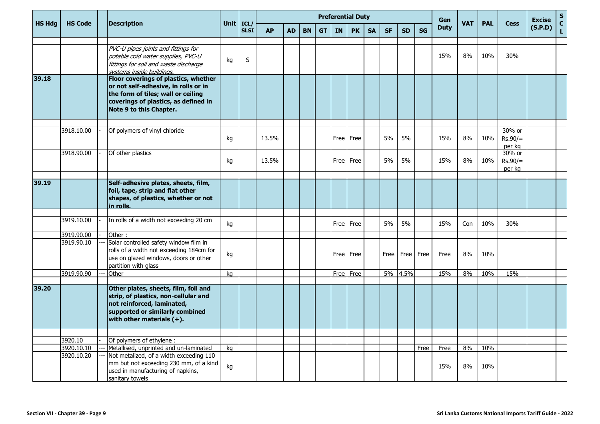| <b>HS Hdg</b> | <b>HS Code</b>        | <b>Description</b>                                                                                                                                                                    | Unit $ICL/$ |             | <b>Preferential Duty</b> |           |           |           |             |           |           |           |           |           | Gen         | <b>VAT</b> | <b>PAL</b> | <b>Cess</b>                   | <b>Excise</b> | ${\sf s}$<br>$\mathbf{C}$ |
|---------------|-----------------------|---------------------------------------------------------------------------------------------------------------------------------------------------------------------------------------|-------------|-------------|--------------------------|-----------|-----------|-----------|-------------|-----------|-----------|-----------|-----------|-----------|-------------|------------|------------|-------------------------------|---------------|---------------------------|
|               |                       |                                                                                                                                                                                       |             | <b>SLSI</b> | <b>AP</b>                | <b>AD</b> | <b>BN</b> | <b>GT</b> | <b>IN</b>   | <b>PK</b> | <b>SA</b> | <b>SF</b> | <b>SD</b> | <b>SG</b> | <b>Duty</b> |            |            |                               | (S.P.D)       | L.                        |
|               |                       |                                                                                                                                                                                       |             |             |                          |           |           |           |             |           |           |           |           |           |             |            |            |                               |               |                           |
|               |                       | PVC-U pipes joints and fittings for<br>potable cold water supplies, PVC-U<br>fittings for soil and waste discharge<br>systems inside buildings.                                       | kg          | S           |                          |           |           |           |             |           |           |           |           |           | 15%         | 8%         | 10%        | 30%                           |               |                           |
| 39.18         |                       | Floor coverings of plastics, whether<br>or not self-adhesive, in rolls or in<br>the form of tiles; wall or ceiling<br>coverings of plastics, as defined in<br>Note 9 to this Chapter. |             |             |                          |           |           |           |             |           |           |           |           |           |             |            |            |                               |               |                           |
|               | 3918.10.00            | Of polymers of vinyl chloride                                                                                                                                                         |             |             |                          |           |           |           |             |           |           |           |           |           |             |            |            | 30% or                        |               |                           |
|               |                       |                                                                                                                                                                                       | kg          |             | 13.5%                    |           |           |           | <b>Free</b> | Free      |           | 5%        | 5%        |           | 15%         | 8%         | 10%        | $Rs.90/=$<br>per kg           |               |                           |
|               | 3918.90.00            | Of other plastics                                                                                                                                                                     | kg          |             | 13.5%                    |           |           |           |             | Free Free |           | 5%        | 5%        |           | 15%         | 8%         | 10%        | 30% or<br>$Rs.90/=$<br>per kg |               |                           |
| 39.19         |                       | Self-adhesive plates, sheets, film,<br>foil, tape, strip and flat other<br>shapes, of plastics, whether or not<br>in rolls.                                                           |             |             |                          |           |           |           |             |           |           |           |           |           |             |            |            |                               |               |                           |
|               |                       |                                                                                                                                                                                       |             |             |                          |           |           |           |             |           |           |           |           |           |             |            |            |                               |               |                           |
|               | 3919.10.00            | In rolls of a width not exceeding 20 cm                                                                                                                                               | kg          |             |                          |           |           |           | <b>Free</b> | Free      |           | 5%        | 5%        |           | 15%         | Con        | 10%        | 30%                           |               |                           |
|               | 3919.90.00            | Other:                                                                                                                                                                                |             |             |                          |           |           |           |             |           |           |           |           |           |             |            |            |                               |               |                           |
|               | 3919.90.10            | Solar controlled safety window film in<br>rolls of a width not exceeding 184cm for<br>use on glazed windows, doors or other<br>partition with glass                                   | kg          |             |                          |           |           |           |             | Free Free |           | Free      | Free Free |           | Free        | 8%         | 10%        |                               |               |                           |
|               | 3919.90.90            | Other                                                                                                                                                                                 | kg          |             |                          |           |           |           | Free        | Free      |           | 5%        | 4.5%      |           | 15%         | 8%         | 10%        | 15%                           |               |                           |
| 39.20         |                       | Other plates, sheets, film, foil and<br>strip, of plastics, non-cellular and<br>not reinforced, laminated,<br>supported or similarly combined<br>with other materials $(+)$ .         |             |             |                          |           |           |           |             |           |           |           |           |           |             |            |            |                               |               |                           |
|               |                       |                                                                                                                                                                                       |             |             |                          |           |           |           |             |           |           |           |           |           |             |            |            |                               |               |                           |
|               | 3920.10<br>3920.10.10 | Of polymers of ethylene:<br>Metallised, unprinted and un-laminated                                                                                                                    | kg          |             |                          |           |           |           |             |           |           |           |           | Free      | Free        | 8%         | 10%        |                               |               |                           |
|               | 3920.10.20            | Not metalized, of a width exceeding 110<br>mm but not exceeding 230 mm, of a kind<br>used in manufacturing of napkins,<br>sanitary towels                                             | kg          |             |                          |           |           |           |             |           |           |           |           |           | 15%         | 8%         | 10%        |                               |               |                           |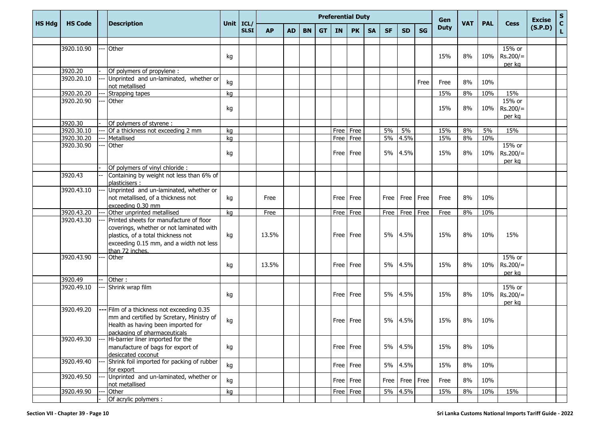|               |                |                                                                                                                                                                                         |             |             |           |           |           |           |        | <b>Preferential Duty</b> |           |           |             |           | Gen         |            |            |                                | <b>Excise</b> | ${\sf s}$                   |
|---------------|----------------|-----------------------------------------------------------------------------------------------------------------------------------------------------------------------------------------|-------------|-------------|-----------|-----------|-----------|-----------|--------|--------------------------|-----------|-----------|-------------|-----------|-------------|------------|------------|--------------------------------|---------------|-----------------------------|
| <b>HS Hdg</b> | <b>HS Code</b> | <b>Description</b>                                                                                                                                                                      | Unit   ICL/ | <b>SLSI</b> | <b>AP</b> | <b>AD</b> | <b>BN</b> | <b>GT</b> | IN     | <b>PK</b>                | <b>SA</b> | <b>SF</b> | <b>SD</b>   | <b>SG</b> | <b>Duty</b> | <b>VAT</b> | <b>PAL</b> | <b>Cess</b>                    | (S.P.D)       | $\mathbf c$<br>$\mathbf{L}$ |
|               |                |                                                                                                                                                                                         |             |             |           |           |           |           |        |                          |           |           |             |           |             |            |            |                                |               |                             |
|               | 3920.10.90     | Other                                                                                                                                                                                   | kg          |             |           |           |           |           |        |                          |           |           |             |           | 15%         | 8%         | 10%        | 15% or<br>$Rs.200/=$<br>per kg |               |                             |
|               | 3920.20        | Of polymers of propylene:                                                                                                                                                               |             |             |           |           |           |           |        |                          |           |           |             |           |             |            |            |                                |               |                             |
|               | 3920.20.10     | Unprinted and un-laminated, whether or<br>not metallised                                                                                                                                | kg          |             |           |           |           |           |        |                          |           |           |             | Free      | Free        | 8%         | 10%        |                                |               |                             |
|               | 3920.20.20     | Strapping tapes                                                                                                                                                                         | kg          |             |           |           |           |           |        |                          |           |           |             |           | 15%         | 8%         | 10%        | 15%                            |               |                             |
|               | 3920.20.90     | Other                                                                                                                                                                                   | kg          |             |           |           |           |           |        |                          |           |           |             |           | 15%         | 8%         | 10%        | 15% or<br>$Rs.200/=$<br>per kg |               |                             |
|               | 3920.30        | Of polymers of styrene :                                                                                                                                                                |             |             |           |           |           |           |        |                          |           |           |             |           |             |            |            |                                |               |                             |
|               | 3920.30.10     | Of a thickness not exceeding 2 mm                                                                                                                                                       | kg          |             |           |           |           |           |        | Free Free                |           | 5%        | 5%          |           | 15%         | 8%         | 5%         | 15%                            |               |                             |
|               | 3920.30.20     | Metallised                                                                                                                                                                              | kg          |             |           |           |           |           | Free   | Free                     |           | 5%        | 4.5%        |           | 15%         | 8%         | 10%        |                                |               |                             |
|               | 3920.30.90     | Other                                                                                                                                                                                   | kg          |             |           |           |           |           |        | Free   Free              |           | 5%        | 4.5%        |           | 15%         | 8%         | 10%        | 15% or<br>$Rs.200/=$<br>per kg |               |                             |
|               |                | Of polymers of vinyl chloride:                                                                                                                                                          |             |             |           |           |           |           |        |                          |           |           |             |           |             |            |            |                                |               |                             |
|               | 3920.43        | Containing by weight not less than 6% of<br>plasticisers:                                                                                                                               |             |             |           |           |           |           |        |                          |           |           |             |           |             |            |            |                                |               |                             |
|               | 3920.43.10     | Unprinted and un-laminated, whether or<br>not metallised, of a thickness not<br>exceeding 0.30 mm                                                                                       | kg          |             | Free      |           |           |           |        | Free Free                |           | Free      | Free   Free |           | Free        | 8%         | 10%        |                                |               |                             |
|               | 3920.43.20     | Other unprinted metallised                                                                                                                                                              | kg          |             | Free      |           |           |           |        | Free   Free              |           | Free      | Free Free   |           | Free        | 8%         | 10%        |                                |               |                             |
|               | 3920.43.30     | Printed sheets for manufacture of floor<br>coverings, whether or not laminated with<br>plastics, of a total thickness not<br>exceeding 0.15 mm, and a width not less<br>than 72 inches. | kg          |             | 13.5%     |           |           |           |        | Free Free                |           | 5%        | 4.5%        |           | 15%         | 8%         | 10%        | 15%                            |               |                             |
|               | 3920.43.90     | Other                                                                                                                                                                                   | kg          |             | 13.5%     |           |           |           | Free I | Free                     |           | 5%        | 4.5%        |           | 15%         | 8%         | 10%        | 15% or<br>$Rs.200/=$<br>per kg |               |                             |
|               | 3920.49        | Other:                                                                                                                                                                                  |             |             |           |           |           |           |        |                          |           |           |             |           |             |            |            |                                |               |                             |
|               | 3920.49.10     | Shrink wrap film                                                                                                                                                                        | kg          |             |           |           |           |           | Free   | Free                     |           | 5%        | 4.5%        |           | 15%         | 8%         | 10%        | 15% or<br>$Rs.200/=$<br>per kg |               |                             |
|               | 3920.49.20     | --- Film of a thickness not exceeding 0.35<br>mm and certified by Scretary, Ministry of<br>Health as having been imported for<br>packaging of pharmaceuticals                           | kg          |             |           |           |           |           | Free I | Free                     |           | 5%        | 4.5%        |           | 15%         | 8%         | 10%        |                                |               |                             |
|               | 3920.49.30     | Hi-barrier liner imported for the<br>manufacture of bags for export of<br>desiccated coconut                                                                                            | kg          |             |           |           |           |           |        | Free Free                |           |           | 5% 4.5%     |           | 15%         | 8%         | 10%        |                                |               |                             |
|               | 3920.49.40     | Shrink foil imported for packing of rubber<br>for export                                                                                                                                | kg          |             |           |           |           |           |        | Free   Free              |           |           | 5% 4.5%     |           | 15%         | 8%         | 10%        |                                |               |                             |
|               | 3920.49.50     | Unprinted and un-laminated, whether or<br>not metallised                                                                                                                                | kg          |             |           |           |           |           |        | Free Free                |           | Free      | Free Free   |           | Free        | 8%         | 10%        |                                |               |                             |
|               | 3920.49.90     | Other<br>Of acrylic polymers :                                                                                                                                                          | kg          |             |           |           |           |           |        | Free Free                |           |           | 5% 4.5%     |           | 15%         | 8%         | 10%        | 15%                            |               |                             |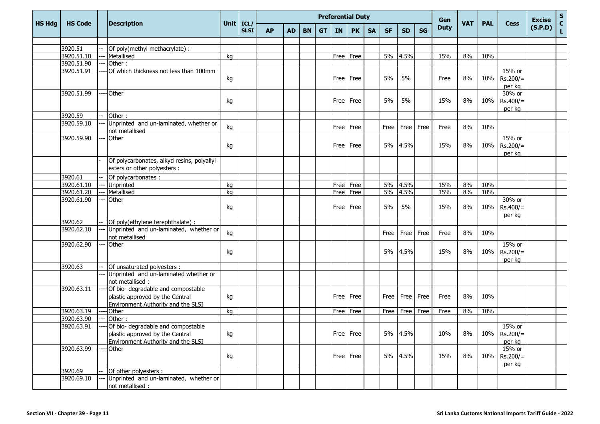|               |                |                                                                                                             |             |             |           | <b>Preferential Duty</b> |           |           |             |             | Gen       |           |           |             | <b>Excise</b> | $\frac{{\sf s}}{{\sf c}}$ |            |                                  |         |             |
|---------------|----------------|-------------------------------------------------------------------------------------------------------------|-------------|-------------|-----------|--------------------------|-----------|-----------|-------------|-------------|-----------|-----------|-----------|-------------|---------------|---------------------------|------------|----------------------------------|---------|-------------|
| <b>HS Hdg</b> | <b>HS Code</b> | <b>Description</b>                                                                                          | Unit $ICL/$ | <b>SLSI</b> | <b>AP</b> | <b>AD</b>                | <b>BN</b> | <b>GT</b> | <b>IN</b>   | <b>PK</b>   | <b>SA</b> | <b>SF</b> | <b>SD</b> | <b>SG</b>   | <b>Duty</b>   | <b>VAT</b>                | <b>PAL</b> | <b>Cess</b>                      | (S.P.D) | $\mathbf L$ |
|               |                |                                                                                                             |             |             |           |                          |           |           |             |             |           |           |           |             |               |                           |            |                                  |         |             |
|               | 3920.51        | Of poly(methyl methacrylate) :                                                                              |             |             |           |                          |           |           |             |             |           |           |           |             |               |                           |            |                                  |         |             |
|               | 3920.51.10     | Metallised                                                                                                  | kg          |             |           |                          |           |           |             | Free Free   |           | 5%        | 4.5%      |             | 15%           | 8%                        | 10%        |                                  |         |             |
|               | 3920.51.90     | Other:                                                                                                      |             |             |           |                          |           |           |             |             |           |           |           |             |               |                           |            |                                  |         |             |
|               | 3920.51.91     | Of which thickness not less than 100mm                                                                      | kg          |             |           |                          |           |           |             | Free   Free |           | 5%        | 5%        |             | Free          | 8%                        | 10%        | 15% or<br>$Rs.200/=$<br>per kg   |         |             |
|               | 3920.51.99     | -Other                                                                                                      | kg          |             |           |                          |           |           | <b>Free</b> | Free        |           | 5%        | 5%        |             | 15%           | 8%                        | 10%        | 30% or<br>$Rs.400/=$<br>per kg   |         |             |
|               | 3920.59        | Other:                                                                                                      |             |             |           |                          |           |           |             |             |           |           |           |             |               |                           |            |                                  |         |             |
|               | 3920.59.10     | Unprinted and un-laminated, whether or<br>not metallised                                                    | kg          |             |           |                          |           |           | Free        | Free        |           | Free      | Free      | Free        | Free          | 8%                        | 10%        |                                  |         |             |
|               | 3920.59.90     | Other                                                                                                       | kg          |             |           |                          |           |           | Free l      | Free        |           | 5%        | 4.5%      |             | 15%           | 8%                        | 10%        | 15% or<br>$Rs.200/=$<br>per kg   |         |             |
|               |                | Of polycarbonates, alkyd resins, polyallyl<br>esters or other polyesters :                                  |             |             |           |                          |           |           |             |             |           |           |           |             |               |                           |            |                                  |         |             |
|               | 3920.61        | Of polycarbonates :                                                                                         |             |             |           |                          |           |           |             |             |           |           |           |             |               |                           |            |                                  |         |             |
|               | 3920.61.10     | Unprinted                                                                                                   | kg          |             |           |                          |           |           |             | Free Free   |           | 5%        | 4.5%      |             | 15%           | 8%                        | 10%        |                                  |         |             |
|               | 3920.61.20     | Metallised                                                                                                  | kg          |             |           |                          |           |           |             | Free Free   |           | 5%        | 4.5%      |             | 15%           | 8%                        | 10%        |                                  |         |             |
|               | 3920.61.90     | Other                                                                                                       | kg          |             |           |                          |           |           |             | Free Free   |           | 5%        | 5%        |             | 15%           | 8%                        | 10%        | 30% or<br>$Rs.400/=$<br>per kg   |         |             |
|               | 3920.62        | Of poly(ethylene terephthalate) :                                                                           |             |             |           |                          |           |           |             |             |           |           |           |             |               |                           |            |                                  |         |             |
|               | 3920.62.10     | Unprinted and un-laminated, whether or<br>not metallised                                                    | kg          |             |           |                          |           |           |             |             |           | Free      | Free      | Free        | Free          | 8%                        | 10%        |                                  |         |             |
|               | 3920.62.90     | Other                                                                                                       | kg          |             |           |                          |           |           |             |             |           | 5%        | 4.5%      |             | 15%           | 8%                        | 10%        | 15% or<br>$Rs.200/=$<br>per kg   |         |             |
|               | 3920.63        | Of unsaturated polyesters :                                                                                 |             |             |           |                          |           |           |             |             |           |           |           |             |               |                           |            |                                  |         |             |
|               |                | Unprinted and un-laminated whether or<br>not metallised :                                                   |             |             |           |                          |           |           |             |             |           |           |           |             |               |                           |            |                                  |         |             |
|               | 3920.63.11     | Of bio- degradable and compostable<br>plastic approved by the Central<br>Environment Authority and the SLSI | kg          |             |           |                          |           |           |             | Free Free   |           | Free      |           | Free   Free | Free          | 8%                        | 10%        |                                  |         |             |
|               | 3920.63.19     | Other                                                                                                       | kg          |             |           |                          |           |           |             | Free Free   |           | Free      | Free      | Free        | Free          | 8%                        | 10%        |                                  |         |             |
|               | 3920.63.90     | Other:                                                                                                      |             |             |           |                          |           |           |             |             |           |           |           |             |               |                           |            |                                  |         |             |
|               | 3920.63.91     | Of bio- degradable and compostable<br>plastic approved by the Central<br>Environment Authority and the SLSI | kg          |             |           |                          |           |           |             | Free Free   |           |           | 5% 4.5%   |             | 10%           | 8%                        |            | 15% or<br>10% Rs.200/=<br>per kg |         |             |
|               | 3920.63.99     | <b>Other</b>                                                                                                | kg          |             |           |                          |           |           |             | Free Free   |           |           | 5% 4.5%   |             | 15%           | 8%                        | 10%        | 15% or<br>$Rs.200/=$<br>per kg   |         |             |
|               | 3920.69        | Of other polyesters :                                                                                       |             |             |           |                          |           |           |             |             |           |           |           |             |               |                           |            |                                  |         |             |
|               | 3920.69.10     | Unprinted and un-laminated, whether or<br>not metallised :                                                  |             |             |           |                          |           |           |             |             |           |           |           |             |               |                           |            |                                  |         |             |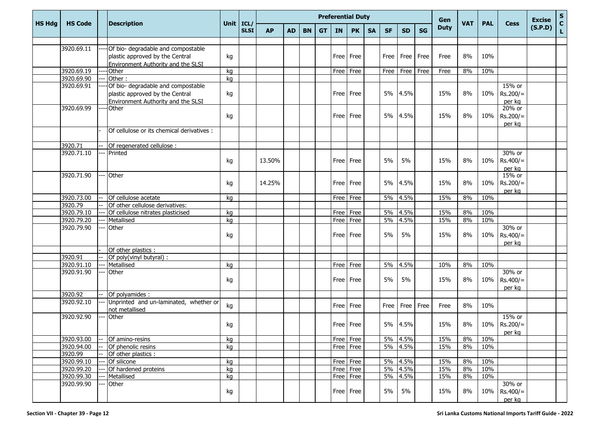|               |                |                                            |             |             |           |           |           |           |             | <b>Preferential Duty</b> |           |           |           |             | Gen         |            |            |             | <b>Excise</b> | ${\sf s}$                  |
|---------------|----------------|--------------------------------------------|-------------|-------------|-----------|-----------|-----------|-----------|-------------|--------------------------|-----------|-----------|-----------|-------------|-------------|------------|------------|-------------|---------------|----------------------------|
| <b>HS Hdg</b> | <b>HS Code</b> | <b>Description</b>                         | Unit   ICL/ | <b>SLSI</b> | <b>AP</b> | <b>AD</b> | <b>BN</b> | <b>GT</b> | <b>IN</b>   | <b>PK</b>                | <b>SA</b> | <b>SF</b> | <b>SD</b> | <b>SG</b>   | <b>Duty</b> | <b>VAT</b> | <b>PAL</b> | <b>Cess</b> | (S.P.D)       | $\mathbf c$<br>$\mathbf L$ |
|               |                |                                            |             |             |           |           |           |           |             |                          |           |           |           |             |             |            |            |             |               |                            |
|               | 3920.69.11     | Of bio- degradable and compostable         |             |             |           |           |           |           |             |                          |           |           |           |             |             |            |            |             |               |                            |
|               |                | plastic approved by the Central            | kg          |             |           |           |           |           | Free        | Free                     |           | Free      | Free      | Free        | Free        | 8%         | 10%        |             |               |                            |
|               |                | Environment Authority and the SLSI         |             |             |           |           |           |           |             |                          |           |           |           |             |             |            |            |             |               |                            |
|               | 3920.69.19     | Other                                      | kg          |             |           |           |           |           |             | Free Free                |           | Free      | Free      | Free        | Free        | 8%         | 10%        |             |               |                            |
|               | 3920.69.90     | Other:                                     | kg          |             |           |           |           |           |             |                          |           |           |           |             |             |            |            |             |               |                            |
|               | 3920.69.91     | Of bio- degradable and compostable         |             |             |           |           |           |           |             |                          |           |           |           |             |             |            |            | 15% or      |               |                            |
|               |                | plastic approved by the Central            | kg          |             |           |           |           |           |             | Free   Free              |           | 5%        | 4.5%      |             | 15%         | 8%         | 10%        | $Rs.200/=$  |               |                            |
|               |                | Environment Authority and the SLSI         |             |             |           |           |           |           |             |                          |           |           |           |             |             |            |            | per kg      |               |                            |
|               | 3920.69.99     | Other                                      |             |             |           |           |           |           |             |                          |           |           |           |             |             |            |            | 20% or      |               |                            |
|               |                |                                            | kg          |             |           |           |           |           | <b>Free</b> | Free                     |           | 5%        | 4.5%      |             | 15%         | 8%         | 10%        | $Rs.200/=$  |               |                            |
|               |                |                                            |             |             |           |           |           |           |             |                          |           |           |           |             |             |            |            | per kg      |               |                            |
|               |                | Of cellulose or its chemical derivatives : |             |             |           |           |           |           |             |                          |           |           |           |             |             |            |            |             |               |                            |
|               | 3920.71        | Of regenerated cellulose :                 |             |             |           |           |           |           |             |                          |           |           |           |             |             |            |            |             |               |                            |
|               | 3920.71.10     | Printed                                    |             |             |           |           |           |           |             |                          |           |           |           |             |             |            |            | 30% or      |               |                            |
|               |                |                                            | kg          |             | 13.50%    |           |           |           |             | Free Free                |           | 5%        | 5%        |             | 15%         | 8%         | 10%        | $Rs.400/=$  |               |                            |
|               |                |                                            |             |             |           |           |           |           |             |                          |           |           |           |             |             |            |            | per kg      |               |                            |
|               | 3920.71.90     | Other                                      |             |             |           |           |           |           |             |                          |           |           |           |             |             |            |            | 15% or      |               |                            |
|               |                |                                            | kg          |             | 14.25%    |           |           |           |             | Free Free                |           | 5%        | 4.5%      |             | 15%         | 8%         | 10%        | $Rs.200/=$  |               |                            |
|               |                |                                            |             |             |           |           |           |           |             |                          |           |           |           |             |             |            |            | per kg      |               |                            |
|               | 3920.73.00     | Of cellulose acetate                       | kg          |             |           |           |           |           |             | Free Free                |           |           | 5% 4.5%   |             | 15%         | 8%         | 10%        |             |               |                            |
|               | 3920.79        | Of other cellulose derivatives:            |             |             |           |           |           |           |             |                          |           |           |           |             |             |            |            |             |               |                            |
|               | 3920.79.10     | Of cellulose nitrates plasticised          | kg          |             |           |           |           |           |             | Free Free                |           | 5%        | 4.5%      |             | 15%         | 8%         | 10%        |             |               |                            |
|               | 3920.79.20     | Metallised                                 | kg          |             |           |           |           |           |             | Free Free                |           | 5%        | 4.5%      |             | 15%         | 8%         | 10%        |             |               |                            |
|               | 3920.79.90     | Other                                      |             |             |           |           |           |           |             |                          |           |           |           |             |             |            |            | 30% or      |               |                            |
|               |                |                                            | kg          |             |           |           |           |           |             | Free Free                |           | 5%        | 5%        |             | 15%         | 8%         | 10%        | $Rs.400/=$  |               |                            |
|               |                |                                            |             |             |           |           |           |           |             |                          |           |           |           |             |             |            |            | per kg      |               |                            |
|               |                | Of other plastics :                        |             |             |           |           |           |           |             |                          |           |           |           |             |             |            |            |             |               |                            |
|               | 3920.91        | Of poly(vinyl butyral) :                   |             |             |           |           |           |           |             |                          |           |           |           |             |             |            |            |             |               |                            |
|               | 3920.91.10     | Metallised                                 | kg          |             |           |           |           |           |             | Free Free                |           | 5%        | 4.5%      |             | 10%         | 8%         | 10%        |             |               |                            |
|               | 3920.91.90     | Other                                      |             |             |           |           |           |           |             |                          |           |           |           |             |             |            |            | 30% or      |               |                            |
|               |                |                                            | kg          |             |           |           |           |           |             | Free   Free              |           | 5%        | 5%        |             | 15%         | 8%         | 10%        | $Rs.400/=$  |               |                            |
|               |                |                                            |             |             |           |           |           |           |             |                          |           |           |           |             |             |            |            | per kg      |               |                            |
|               | 3920.92        | $\overline{Of}$ polyamides :               |             |             |           |           |           |           |             |                          |           |           |           |             |             |            |            |             |               |                            |
|               | 3920.92.10     | Unprinted and un-laminated, whether or     | kg          |             |           |           |           |           |             | Free Free                |           | Free      |           | Free   Free | Free        | 8%         | 10%        |             |               |                            |
|               | 3920.92.90     | not metallised<br>Other                    |             |             |           |           |           |           |             |                          |           |           |           |             |             |            |            | 15% or      |               |                            |
|               |                |                                            | kg          |             |           |           |           |           |             | Free   Free              |           | 5%        | 4.5%      |             | 15%         | 8%         | 10%        | $Rs.200/=$  |               |                            |
|               |                |                                            |             |             |           |           |           |           |             |                          |           |           |           |             |             |            |            |             |               |                            |
|               | 3920.93.00     | Of amino-resins                            | kg          |             |           |           |           |           |             | $Free$ Free              |           |           | 5% 4.5%   |             | 15%         | 8%         | 10%        | per kg      |               |                            |
|               | 3920.94.00     | Of phenolic resins                         | kg          |             |           |           |           |           |             | Free Free                |           |           | 5% 4.5%   |             | 15%         | 8%         | 10%        |             |               |                            |
|               | 3920.99        | Of other plastics:                         |             |             |           |           |           |           |             |                          |           |           |           |             |             |            |            |             |               |                            |
|               | 3920.99.10     | Of silicone                                | kg          |             |           |           |           |           |             | Free Free                |           |           | 5% 4.5%   |             | 15%         | 8%         | 10%        |             |               |                            |
|               | 3920.99.20     | Of hardened proteins                       | kg          |             |           |           |           |           |             | Free Free                |           |           | 5% 4.5%   |             | 15%         | 8%         | 10%        |             |               |                            |
|               | 3920.99.30     | Metallised                                 | kg          |             |           |           |           |           |             | Free Free                |           |           | 5% 4.5%   |             | 15%         | 8%         | 10%        |             |               |                            |
|               | 3920.99.90     | Other                                      |             |             |           |           |           |           |             |                          |           |           |           |             |             |            |            | 30% or      |               |                            |
|               |                |                                            | kg          |             |           |           |           |           |             | Free Free                |           | 5%        | 5%        |             | 15%         | 8%         | 10%        | $Rs.400/=$  |               |                            |
|               |                |                                            |             |             |           |           |           |           |             |                          |           |           |           |             |             |            |            | per kg      |               |                            |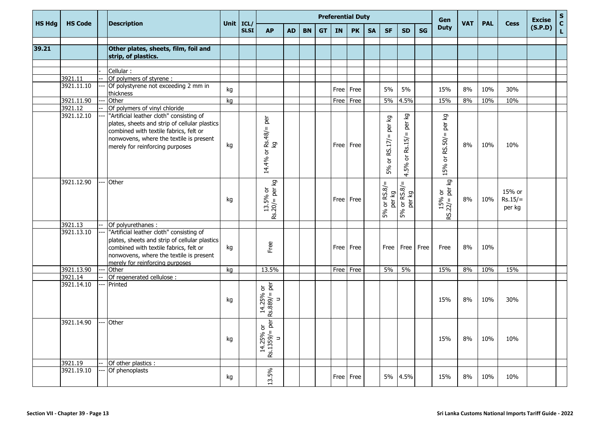|               |                |                                               |             |             |                               |           |           |           |           | <b>Preferential Duty</b> |           |                              |                    |           | Gen                          |            |            |             | <b>Excise</b> | $\frac{{\sf s}}{{\sf c}}$ |
|---------------|----------------|-----------------------------------------------|-------------|-------------|-------------------------------|-----------|-----------|-----------|-----------|--------------------------|-----------|------------------------------|--------------------|-----------|------------------------------|------------|------------|-------------|---------------|---------------------------|
| <b>HS Hdg</b> | <b>HS Code</b> | <b>Description</b>                            | Unit   ICL/ | <b>SLSI</b> | <b>AP</b>                     | <b>AD</b> | <b>BN</b> | <b>GT</b> | <b>IN</b> | <b>PK</b>                | <b>SA</b> | <b>SF</b>                    | <b>SD</b>          | <b>SG</b> | <b>Duty</b>                  | <b>VAT</b> | <b>PAL</b> | <b>Cess</b> | (S.P.D)       | $\mathsf{L}$              |
|               |                |                                               |             |             |                               |           |           |           |           |                          |           |                              |                    |           |                              |            |            |             |               |                           |
| 39.21         |                | Other plates, sheets, film, foil and          |             |             |                               |           |           |           |           |                          |           |                              |                    |           |                              |            |            |             |               |                           |
|               |                | strip, of plastics.                           |             |             |                               |           |           |           |           |                          |           |                              |                    |           |                              |            |            |             |               |                           |
|               |                | Cellular:                                     |             |             |                               |           |           |           |           |                          |           |                              |                    |           |                              |            |            |             |               |                           |
|               | 3921.11        | Of polymers of styrene :                      |             |             |                               |           |           |           |           |                          |           |                              |                    |           |                              |            |            |             |               |                           |
|               | 3921.11.10     | Of polystyrene not exceeding 2 mm in          |             |             |                               |           |           |           |           |                          |           |                              |                    |           |                              |            |            |             |               |                           |
|               |                | thickness                                     | kg          |             |                               |           |           |           | Free      | Free                     |           | 5%                           | 5%                 |           | 15%                          | 8%         | 10%        | 30%         |               |                           |
|               | 3921.11.90     | Other                                         | kg          |             |                               |           |           |           | Free      | Free                     |           | 5%                           | 4.5%               |           | 15%                          | 8%         | 10%        | 10%         |               |                           |
|               | 3921.12        | Of polymers of vinyl chloride                 |             |             |                               |           |           |           |           |                          |           |                              |                    |           |                              |            |            |             |               |                           |
|               | 3921.12.10     | "Artificial leather cloth" consisting of      |             |             |                               |           |           |           |           |                          |           |                              | δz                 |           | δ                            |            |            |             |               |                           |
|               |                | plates, sheets and strip of cellular plastics |             |             | per                           |           |           |           |           |                          |           | Σò                           | per                |           | per                          |            |            |             |               |                           |
|               |                | combined with textile fabrics, felt or        |             |             | $\mathbf{H}$                  |           |           |           |           |                          |           | è                            |                    |           |                              |            |            |             |               |                           |
|               |                | nonwovens, where the textile is present       |             |             | Rs.48/                        |           |           |           |           |                          |           | $\mathbf{I}$                 | $\, \parallel$     |           | $\mathbf{H}$                 |            |            |             |               |                           |
|               |                | merely for reinforcing purposes               | kg          |             | ତ୍ର                           |           |           |           |           | Free Free                |           |                              | Rs.15/             |           | RS.50/                       | 8%         | 10%        | 10%         |               |                           |
|               |                |                                               |             |             | ৯                             |           |           |           |           |                          |           | RS.17/                       |                    |           |                              |            |            |             |               |                           |
|               |                |                                               |             |             |                               |           |           |           |           |                          |           | $\overleftarrow{\mathrm{o}}$ | ð                  |           | $\overleftarrow{\mathrm{o}}$ |            |            |             |               |                           |
|               |                |                                               |             |             | 14.4%                         |           |           |           |           |                          |           | 5%                           | 5%                 |           | 15%                          |            |            |             |               |                           |
|               |                |                                               |             |             |                               |           |           |           |           |                          |           |                              | 4.                 |           |                              |            |            |             |               |                           |
|               | 3921.12.90     | Other                                         |             |             | δ                             |           |           |           |           |                          |           | $\rm{II}$                    | $\mathsf{II}$      |           | δ                            |            |            |             |               |                           |
|               |                |                                               |             |             | ğ<br>$\overleftarrow{\sigma}$ |           |           |           |           |                          |           |                              |                    |           | per<br>ð                     |            |            | 15% or      |               |                           |
|               |                |                                               | kg          |             | 5%<br>$\, \Pi \,$             |           |           |           |           | Free Free                |           | per kg                       | per kg             |           |                              | 8%         | 10%        | $Rs.15/=$   |               |                           |
|               |                |                                               |             |             | 13.                           |           |           |           |           |                          |           | 5% or RS.8/                  | 5% or RS.8/        |           |                              |            |            | per kg      |               |                           |
|               |                |                                               |             |             | Rs.20/                        |           |           |           |           |                          |           |                              |                    |           | $15%$<br>RS.22/= E           |            |            |             |               |                           |
|               | 3921.13        | Of polyurethanes :                            |             |             |                               |           |           |           |           |                          |           |                              |                    |           |                              |            |            |             |               |                           |
|               | 3921.13.10     | "Artificial leather cloth" consisting of      |             |             |                               |           |           |           |           |                          |           |                              |                    |           |                              |            |            |             |               |                           |
|               |                | plates, sheets and strip of cellular plastics |             |             |                               |           |           |           |           |                          |           |                              |                    |           |                              |            |            |             |               |                           |
|               |                | combined with textile fabrics, felt or        | kg          |             | Free                          |           |           |           |           | Free Free                |           |                              | Free   Free   Free |           | Free                         | 8%         | 10%        |             |               |                           |
|               |                | nonwovens, where the textile is present       |             |             |                               |           |           |           |           |                          |           |                              |                    |           |                              |            |            |             |               |                           |
|               |                | merely for reinforcing purposes               |             |             |                               |           |           |           |           |                          |           |                              |                    |           |                              |            |            |             |               |                           |
|               | 3921.13.90     | Other                                         | kg          |             | 13.5%                         |           |           |           | Free Free |                          |           | $5\%$                        | 5%                 |           | 15%                          | 8%         | 10%        | 15%         |               |                           |
|               | 3921.14        | Of regenerated cellulose :                    |             |             |                               |           |           |           |           |                          |           |                              |                    |           |                              |            |            |             |               |                           |
|               | 3921.14.10     | Printed                                       |             |             | ទ <u>និ</u>                   |           |           |           |           |                          |           |                              |                    |           |                              |            |            |             |               |                           |
|               |                |                                               |             |             | $\,$ H                        |           |           |           |           |                          |           |                              |                    |           |                              |            |            |             |               |                           |
|               |                |                                               | kg          |             | $\Rightarrow$                 |           |           |           |           |                          |           |                              |                    |           | 15%                          | 8%         | 10%        | 30%         |               |                           |
|               |                |                                               |             |             | 14.25%<br>Rs.889/             |           |           |           |           |                          |           |                              |                    |           |                              |            |            |             |               |                           |
|               |                |                                               |             |             |                               |           |           |           |           |                          |           |                              |                    |           |                              |            |            |             |               |                           |
|               | 3921.14.90     | Other                                         |             |             | per<br>ð                      |           |           |           |           |                          |           |                              |                    |           |                              |            |            |             |               |                           |
|               |                |                                               |             |             |                               |           |           |           |           |                          |           |                              |                    |           |                              |            |            |             |               |                           |
|               |                |                                               | kg          |             | $\Rightarrow$                 |           |           |           |           |                          |           |                              |                    |           | 15%                          | 8%         | 10%        | 10%         |               |                           |
|               |                |                                               |             |             | 14.25%<br>Rs.1359/            |           |           |           |           |                          |           |                              |                    |           |                              |            |            |             |               |                           |
|               |                |                                               |             |             |                               |           |           |           |           |                          |           |                              |                    |           |                              |            |            |             |               |                           |
|               | 3921.19        | Of other plastics :                           |             |             |                               |           |           |           |           |                          |           |                              |                    |           |                              |            |            |             |               |                           |
|               | 3921.19.10     | Of phenoplasts                                |             |             |                               |           |           |           |           | Free Free                |           |                              |                    |           |                              | 8%         |            | 10%         |               |                           |
|               |                |                                               | kg          |             | 13.5%                         |           |           |           |           |                          |           |                              | 5% 4.5%            |           | 15%                          |            | 10%        |             |               |                           |
|               |                |                                               |             |             |                               |           |           |           |           |                          |           |                              |                    |           |                              |            |            |             |               |                           |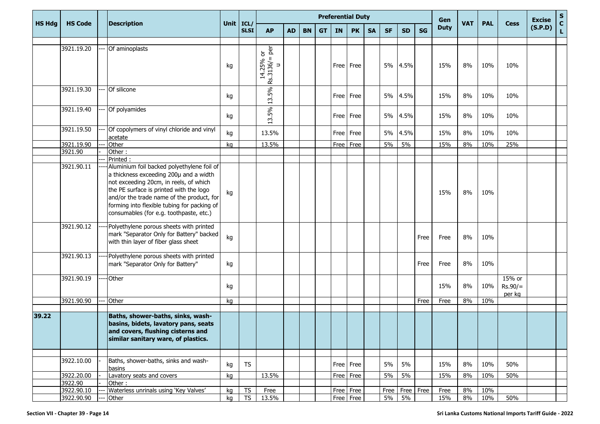|               |                       |                                                                                                                                                                                                                                                                                                                  |             |             |                                                   |           |           |           | <b>Preferential Duty</b> | Gen         |           |           |                    | <b>Excise</b> | $rac{s}{c}$ |            |            |                               |         |              |
|---------------|-----------------------|------------------------------------------------------------------------------------------------------------------------------------------------------------------------------------------------------------------------------------------------------------------------------------------------------------------|-------------|-------------|---------------------------------------------------|-----------|-----------|-----------|--------------------------|-------------|-----------|-----------|--------------------|---------------|-------------|------------|------------|-------------------------------|---------|--------------|
| <b>HS Hdg</b> | <b>HS Code</b>        | <b>Description</b>                                                                                                                                                                                                                                                                                               | Unit   ICL/ | <b>SLSI</b> | <b>AP</b>                                         | <b>AD</b> | <b>BN</b> | <b>GT</b> | <b>IN</b>                | <b>PK</b>   | <b>SA</b> | <b>SF</b> | <b>SD</b>          | <b>SG</b>     | <b>Duty</b> | <b>VAT</b> | <b>PAL</b> | <b>Cess</b>                   | (S.P.D) | $\mathbf{L}$ |
|               |                       |                                                                                                                                                                                                                                                                                                                  |             |             |                                                   |           |           |           |                          |             |           |           |                    |               |             |            |            |                               |         |              |
|               | 3921.19.20            | Of aminoplasts                                                                                                                                                                                                                                                                                                   | kg          |             | $=$ per<br>14.25% or<br>Rs.3136/<br>$\Rightarrow$ |           |           |           |                          | Free   Free |           | 5%        | 4.5%               |               | 15%         | 8%         | 10%        | 10%                           |         |              |
|               | 3921.19.30            | Of silicone                                                                                                                                                                                                                                                                                                      | kg          |             | 13.5%                                             |           |           |           |                          | Free Free   |           |           | 5% 4.5%            |               | 15%         | 8%         | 10%        | 10%                           |         |              |
|               | 3921.19.40            | Of polyamides                                                                                                                                                                                                                                                                                                    | kg          |             | 5%<br>ω.                                          |           |           |           |                          | Free Free   |           | 5%        | 4.5%               |               | 15%         | 8%         | 10%        | 10%                           |         |              |
|               | 3921.19.50            | Of copolymers of vinyl chloride and vinyl<br>acetate                                                                                                                                                                                                                                                             | kg          |             | 13.5%                                             |           |           |           | Free                     | Free        |           | 5%        | 4.5%               |               | 15%         | 8%         | 10%        | 10%                           |         |              |
|               | 3921.19.90            | Other                                                                                                                                                                                                                                                                                                            | kg          |             | 13.5%                                             |           |           |           |                          | Free Free   |           | 5%        | 5%                 |               | 15%         | 8%         | 10%        | 25%                           |         |              |
|               | 3921.90               | Other:                                                                                                                                                                                                                                                                                                           |             |             |                                                   |           |           |           |                          |             |           |           |                    |               |             |            |            |                               |         |              |
|               |                       | Printed:                                                                                                                                                                                                                                                                                                         |             |             |                                                   |           |           |           |                          |             |           |           |                    |               |             |            |            |                               |         |              |
|               | 3921.90.11            | Aluminium foil backed polyethylene foil of<br>a thickness exceeding 200µ and a width<br>not exceeding 20cm, in reels, of which<br>the PE surface is printed with the logo<br>and/or the trade name of the product, for<br>forming into flexible tubing for packing of<br>consumables (for e.g. toothpaste, etc.) | kg          |             |                                                   |           |           |           |                          |             |           |           |                    |               | 15%         | 8%         | 10%        |                               |         |              |
|               | 3921.90.12            | Polyethylene porous sheets with printed<br>mark "Separator Only for Battery" backed<br>with thin layer of fiber glass sheet                                                                                                                                                                                      | kg          |             |                                                   |           |           |           |                          |             |           |           |                    | Free          | Free        | 8%         | 10%        |                               |         |              |
|               | 3921.90.13            | Polyethylene porous sheets with printed<br>mark "Separator Only for Battery"                                                                                                                                                                                                                                     | kg          |             |                                                   |           |           |           |                          |             |           |           |                    | Free          | Free        | 8%         | 10%        |                               |         |              |
|               | 3921.90.19            | <b>Other</b>                                                                                                                                                                                                                                                                                                     | kg          |             |                                                   |           |           |           |                          |             |           |           |                    |               | 15%         | 8%         | 10%        | 15% or<br>$Rs.90/=$<br>per kg |         |              |
|               | 3921.90.90            | Other                                                                                                                                                                                                                                                                                                            | kg          |             |                                                   |           |           |           |                          |             |           |           |                    | Free          | Free        | 8%         | 10%        |                               |         |              |
|               |                       |                                                                                                                                                                                                                                                                                                                  |             |             |                                                   |           |           |           |                          |             |           |           |                    |               |             |            |            |                               |         |              |
| 39.22         |                       | Baths, shower-baths, sinks, wash-<br>basins, bidets, lavatory pans, seats<br>and covers, flushing cisterns and<br>similar sanitary ware, of plastics.                                                                                                                                                            |             |             |                                                   |           |           |           |                          |             |           |           |                    |               |             |            |            |                               |         |              |
|               |                       |                                                                                                                                                                                                                                                                                                                  |             |             |                                                   |           |           |           |                          |             |           |           |                    |               |             |            |            |                               |         |              |
|               | 3922.10.00            | Baths, shower-baths, sinks and wash-<br>basins                                                                                                                                                                                                                                                                   | kg          | <b>TS</b>   |                                                   |           |           |           |                          | Free Free   |           | 5%        | 5%                 |               | 15%         | 8%         | 10%        | 50%                           |         |              |
|               | 3922.20.00<br>3922.90 | Lavatory seats and covers<br>Other:                                                                                                                                                                                                                                                                              | kg          |             | 13.5%                                             |           |           |           |                          | $Free$ Free |           | 5%        | 5%                 |               | 15%         | 8%         | 10%        | 50%                           |         |              |
|               | 3922.90.10            | Waterless unrinals using 'Key Valves'                                                                                                                                                                                                                                                                            | kg          | <b>TS</b>   | Free                                              |           |           |           |                          | Free Free   |           |           | Free   Free   Free |               | Free        | 8%         | 10%        |                               |         |              |
|               | 3922.90.90            | Other                                                                                                                                                                                                                                                                                                            | kg          | TS          | 13.5%                                             |           |           |           |                          | Free Free   |           | $5\%$     | $5\%$              |               | 15%         | 8%         | 10%        | 50%                           |         |              |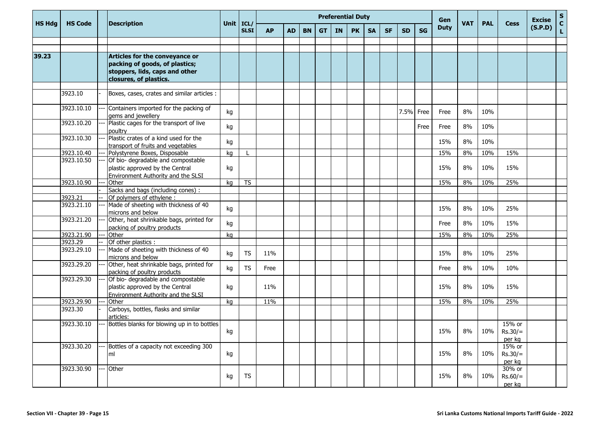|               |                |  | <b>Description</b>                                                                                          | Unit   ICL/ |             | <b>Preferential Duty</b> |           |           |           |           |           |           |           |           |           |             | <b>VAT</b> |            |                               | <b>Excise</b> | $\mathbf S$        |
|---------------|----------------|--|-------------------------------------------------------------------------------------------------------------|-------------|-------------|--------------------------|-----------|-----------|-----------|-----------|-----------|-----------|-----------|-----------|-----------|-------------|------------|------------|-------------------------------|---------------|--------------------|
| <b>HS Hdg</b> | <b>HS Code</b> |  |                                                                                                             |             | <b>SLSI</b> | <b>AP</b>                | <b>AD</b> | <b>BN</b> | <b>GT</b> | <b>IN</b> | <b>PK</b> | <b>SA</b> | <b>SF</b> | <b>SD</b> | <b>SG</b> | <b>Duty</b> |            | <b>PAL</b> | <b>Cess</b>                   | (S.P.D)       | $\mathbf{C}$<br>L. |
|               |                |  |                                                                                                             |             |             |                          |           |           |           |           |           |           |           |           |           |             |            |            |                               |               |                    |
| 39.23         |                |  |                                                                                                             |             |             |                          |           |           |           |           |           |           |           |           |           |             |            |            |                               |               |                    |
|               |                |  | Articles for the conveyance or<br>packing of goods, of plastics;                                            |             |             |                          |           |           |           |           |           |           |           |           |           |             |            |            |                               |               |                    |
|               |                |  | stoppers, lids, caps and other                                                                              |             |             |                          |           |           |           |           |           |           |           |           |           |             |            |            |                               |               |                    |
|               |                |  | closures, of plastics.                                                                                      |             |             |                          |           |           |           |           |           |           |           |           |           |             |            |            |                               |               |                    |
|               |                |  |                                                                                                             |             |             |                          |           |           |           |           |           |           |           |           |           |             |            |            |                               |               |                    |
|               | 3923.10        |  | Boxes, cases, crates and similar articles :                                                                 |             |             |                          |           |           |           |           |           |           |           |           |           |             |            |            |                               |               |                    |
|               | 3923.10.10     |  | Containers imported for the packing of<br>gems and jewellery                                                | kg          |             |                          |           |           |           |           |           |           |           | 7.5% Free |           | Free        | 8%         | 10%        |                               |               |                    |
|               | 3923.10.20     |  | Plastic cages for the transport of live<br>poultry                                                          | kg          |             |                          |           |           |           |           |           |           |           |           | Free      | Free        | 8%         | 10%        |                               |               |                    |
|               | 3923.10.30     |  | Plastic crates of a kind used for the<br>transport of fruits and vegetables                                 | kg          |             |                          |           |           |           |           |           |           |           |           |           | 15%         | 8%         | 10%        |                               |               |                    |
|               | 3923.10.40     |  | Polystyrene Boxes, Disposable                                                                               | kg          |             |                          |           |           |           |           |           |           |           |           |           | 15%         | 8%         | 10%        | 15%                           |               |                    |
|               | 3923.10.50     |  | Of bio- degradable and compostable                                                                          |             |             |                          |           |           |           |           |           |           |           |           |           |             |            |            |                               |               |                    |
|               |                |  | plastic approved by the Central                                                                             | kg          |             |                          |           |           |           |           |           |           |           |           |           | 15%         | 8%         | 10%        | 15%                           |               |                    |
|               | 3923.10.90     |  | Environment Authority and the SLSI                                                                          |             |             |                          |           |           |           |           |           |           |           |           |           |             |            |            |                               |               |                    |
|               |                |  | Other<br>Sacks and bags (including cones):                                                                  | kg          | <b>TS</b>   |                          |           |           |           |           |           |           |           |           |           | 15%         | 8%         | 10%        | 25%                           |               |                    |
|               | 3923.21        |  | Of polymers of ethylene:                                                                                    |             |             |                          |           |           |           |           |           |           |           |           |           |             |            |            |                               |               |                    |
|               | 3923.21.10     |  | Made of sheeting with thickness of 40<br>microns and below                                                  | kg          |             |                          |           |           |           |           |           |           |           |           |           | 15%         | 8%         | 10%        | 25%                           |               |                    |
|               | 3923.21.20     |  | Other, heat shrinkable bags, printed for<br>packing of poultry products                                     | kg          |             |                          |           |           |           |           |           |           |           |           |           | Free        | 8%         | 10%        | 15%                           |               |                    |
|               | 3923.21.90     |  | Other                                                                                                       | kg          |             |                          |           |           |           |           |           |           |           |           |           | 15%         | 8%         | 10%        | 25%                           |               |                    |
|               | 3923.29        |  | Of other plastics :                                                                                         |             |             |                          |           |           |           |           |           |           |           |           |           |             |            |            |                               |               |                    |
|               | 3923.29.10     |  | Made of sheeting with thickness of 40<br>microns and below                                                  | kg          | <b>TS</b>   | 11%                      |           |           |           |           |           |           |           |           |           | 15%         | 8%         | 10%        | 25%                           |               |                    |
|               | 3923.29.20     |  | Other, heat shrinkable bags, printed for<br>packing of poultry products                                     | kg          | <b>TS</b>   | Free                     |           |           |           |           |           |           |           |           |           | Free        | 8%         | 10%        | 10%                           |               |                    |
|               | 3923.29.30     |  | Of bio- degradable and compostable<br>plastic approved by the Central<br>Environment Authority and the SLSI | kg          |             | 11%                      |           |           |           |           |           |           |           |           |           | 15%         | 8%         | 10%        | 15%                           |               |                    |
|               | 3923.29.90     |  | Other                                                                                                       | kg          |             | 11%                      |           |           |           |           |           |           |           |           |           | 15%         | 8%         | 10%        | 25%                           |               |                    |
|               | 3923.30        |  | Carboys, bottles, flasks and similar<br>articles:                                                           |             |             |                          |           |           |           |           |           |           |           |           |           |             |            |            |                               |               |                    |
|               | 3923.30.10     |  | Bottles blanks for blowing up in to bottles                                                                 | kg          |             |                          |           |           |           |           |           |           |           |           |           | 15%         | 8%         | 10%        | 15% or<br>$Rs.30/=$<br>per kg |               |                    |
|               | 3923.30.20     |  | Bottles of a capacity not exceeding 300<br>ml                                                               | kg          |             |                          |           |           |           |           |           |           |           |           |           | 15%         | 8%         | 10%        | 15% or<br>$Rs.30/=$<br>per kg |               |                    |
|               | 3923.30.90     |  | Other                                                                                                       | kg          | <b>TS</b>   |                          |           |           |           |           |           |           |           |           |           | 15%         | 8%         | 10%        | 30% or<br>$Rs.60/=$<br>per kg |               |                    |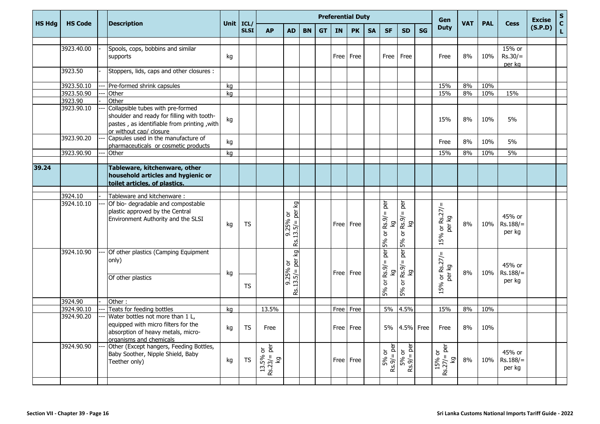|               | <b>HS Code</b> |  | <b>Description</b>                                                                                                                                        | Unit   ICL/ |             | <b>Preferential Duty</b>          |                                                     |           |           |           |             |           |                                    |                                                                    |           |                                                          | <b>VAT</b> |            | <b>Cess</b>                    | <b>Excise</b> | ${\sf s}$          |
|---------------|----------------|--|-----------------------------------------------------------------------------------------------------------------------------------------------------------|-------------|-------------|-----------------------------------|-----------------------------------------------------|-----------|-----------|-----------|-------------|-----------|------------------------------------|--------------------------------------------------------------------|-----------|----------------------------------------------------------|------------|------------|--------------------------------|---------------|--------------------|
| <b>HS Hdg</b> |                |  |                                                                                                                                                           |             | <b>SLSI</b> | <b>AP</b>                         | <b>AD</b>                                           | <b>BN</b> | <b>GT</b> | <b>IN</b> | <b>PK</b>   | <b>SA</b> | <b>SF</b>                          | <b>SD</b>                                                          | <b>SG</b> | <b>Duty</b>                                              |            | <b>PAL</b> |                                | (S.P.D)       | $\mathbf{C}$<br>L. |
|               |                |  |                                                                                                                                                           |             |             |                                   |                                                     |           |           |           |             |           |                                    |                                                                    |           |                                                          |            |            |                                |               |                    |
|               | 3923.40.00     |  | Spools, cops, bobbins and similar<br>supports                                                                                                             | kg          |             |                                   |                                                     |           |           | Free      | Free        |           | Free                               | Free                                                               |           | Free                                                     | 8%         | 10%        | 15% or<br>$Rs.30/=$<br>per kg  |               |                    |
|               | 3923.50        |  | Stoppers, lids, caps and other closures :                                                                                                                 |             |             |                                   |                                                     |           |           |           |             |           |                                    |                                                                    |           |                                                          |            |            |                                |               |                    |
|               | 3923.50.10     |  | Pre-formed shrink capsules                                                                                                                                | kg          |             |                                   |                                                     |           |           |           |             |           |                                    |                                                                    |           | 15%                                                      | 8%         | 10%        |                                |               |                    |
|               | 3923.50.90     |  | Other                                                                                                                                                     | kg          |             |                                   |                                                     |           |           |           |             |           |                                    |                                                                    |           | 15%                                                      | 8%         | 10%        | 15%                            |               |                    |
|               | 3923.90        |  | Other                                                                                                                                                     |             |             |                                   |                                                     |           |           |           |             |           |                                    |                                                                    |           |                                                          |            |            |                                |               |                    |
|               | 3923.90.10     |  | Collapsible tubes with pre-formed<br>shoulder and ready for filling with tooth-<br>pastes, as identifiable from printing, with<br>or without cap/ closure | kg          |             |                                   |                                                     |           |           |           |             |           |                                    |                                                                    |           | 15%                                                      | 8%         | 10%        | 5%                             |               |                    |
|               | 3923.90.20     |  | Capsules used in the manufacture of<br>pharmaceuticals or cosmetic products                                                                               | kg          |             |                                   |                                                     |           |           |           |             |           |                                    |                                                                    |           | Free                                                     | 8%         | 10%        | 5%                             |               |                    |
|               | 3923.90.90     |  | Other                                                                                                                                                     | kg          |             |                                   |                                                     |           |           |           |             |           |                                    |                                                                    |           | 15%                                                      | 8%         | 10%        | 5%                             |               |                    |
|               |                |  |                                                                                                                                                           |             |             |                                   |                                                     |           |           |           |             |           |                                    |                                                                    |           |                                                          |            |            |                                |               |                    |
| 39.24         |                |  | Tableware, kitchenware, other<br>household articles and hygienic or<br>toilet articles, of plastics.                                                      |             |             |                                   |                                                     |           |           |           |             |           |                                    |                                                                    |           |                                                          |            |            |                                |               |                    |
|               | 3924.10        |  |                                                                                                                                                           |             |             |                                   |                                                     |           |           |           |             |           |                                    |                                                                    |           |                                                          |            |            |                                |               |                    |
|               | 3924.10.10     |  | Tableware and kitchenware:<br>Of bio- degradable and compostable                                                                                          |             |             |                                   | Γð                                                  |           |           |           |             |           | per                                | è                                                                  |           |                                                          |            |            |                                |               |                    |
|               |                |  | plastic approved by the Central<br>Environment Authority and the SLSI                                                                                     | kg          | <b>TS</b>   |                                   | 9.25% or<br>$13.5/=\text{per}$<br>$\ddot{5}$<br>RS. |           |           |           | Free Free   |           | $\mathbf H$<br>Rs.9/<br>δ<br>5% or | $\mathbf{I}$<br>Rs.9/<br>ତ୍ର<br>$\overleftarrow{\mathrm{o}}$<br>5% |           | or $Rs.27/=$<br>per kg<br>5%<br>$\overline{\phantom{0}}$ | 8%         | 10%        | 45% or<br>$Rs.188/=$<br>per kg |               |                    |
|               | 3924.10.90     |  | Of other plastics (Camping Equipment<br>only)                                                                                                             | kg          |             |                                   | δ<br>per<br>9.25% or<br>$\,$ H                      |           |           | Free Free |             |           | per<br>$Rs.9/=$<br>δ               | per<br>$\mathbf{I}$<br>Rs.9/<br>Σò                                 |           | or $Rs.27/=$<br>per kg                                   | 8%         | 10%        | 45% or<br>$Rs.188/=$           |               |                    |
|               |                |  | Of other plastics                                                                                                                                         |             | <b>TS</b>   |                                   | <u>n</u><br>$\overline{13}$<br>RS.                  |           |           |           |             |           | $\overleftarrow{\mathrm{o}}$<br>5% | $\overleftarrow{\sigma}$<br>5%                                     |           | 15%                                                      |            |            | per kg                         |               |                    |
|               | 3924.90        |  | Other:                                                                                                                                                    |             |             |                                   |                                                     |           |           |           |             |           |                                    |                                                                    |           |                                                          |            |            |                                |               |                    |
|               | 3924.90.10     |  | Teats for feeding bottles                                                                                                                                 | kg          |             | 13.5%                             |                                                     |           |           | Free Free |             |           |                                    | 5% 4.5%                                                            |           | 15%                                                      | 8%         | 10%        |                                |               |                    |
|               | 3924.90.20     |  | Water bottles not more than 1 L,<br>equipped with micro filters for the<br>absorption of heavy metals, micro-<br>organisms and chemicals                  | kg          | <b>TS</b>   | Free                              |                                                     |           |           |           | $Free$ Free |           |                                    | 5% 4.5% Free                                                       |           | Free                                                     | 8%         | 10%        |                                |               |                    |
|               | 3924.90.90     |  | Other (Except hangers, Feeding Bottles,<br>Baby Soother, Nipple Shield, Baby<br>Teether only)                                                             | kg          | <b>TS</b>   | <u>៦</u> គ<br>$13.5\%$<br>Rs.23/= |                                                     |           |           |           | Free Free   |           | $=$ per<br>5% or<br>Rs.9/-         | ē<br>$5%$ or<br>Rs.9/= pe                                          |           | 15% or<br>Rs.27/= per<br>kg                              | 8%         | 10%        | 45% or<br>$Rs.188/=$<br>per kg |               |                    |
|               |                |  |                                                                                                                                                           |             |             |                                   |                                                     |           |           |           |             |           |                                    |                                                                    |           |                                                          |            |            |                                |               |                    |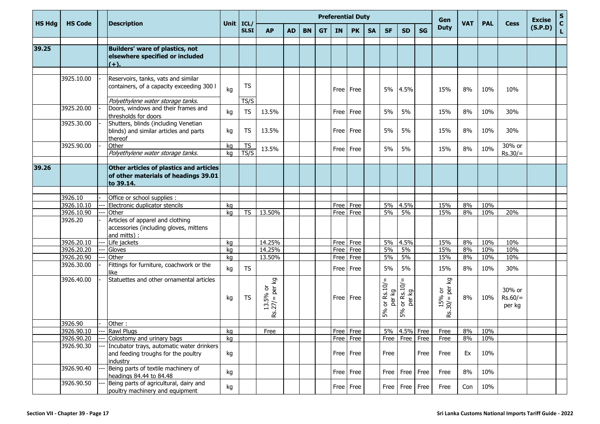|               | <b>HS Code</b>        |  | <b>Description</b>                                                                                 | Unit   ICL/ |                   | <b>Preferential Duty</b>                                      |           |           |           |           |           |           |                                                    |                             |           | Gen                                 | <b>VAT</b> | <b>PAL</b> | <b>Cess</b>                   | <b>Excise</b> | $\mathbf S$<br>$\mathbf{C}$ |
|---------------|-----------------------|--|----------------------------------------------------------------------------------------------------|-------------|-------------------|---------------------------------------------------------------|-----------|-----------|-----------|-----------|-----------|-----------|----------------------------------------------------|-----------------------------|-----------|-------------------------------------|------------|------------|-------------------------------|---------------|-----------------------------|
| <b>HS Hdg</b> |                       |  |                                                                                                    |             | <b>SLSI</b>       | <b>AP</b>                                                     | <b>AD</b> | <b>BN</b> | <b>GT</b> | <b>IN</b> | <b>PK</b> | <b>SA</b> | <b>SF</b>                                          | <b>SD</b>                   | <b>SG</b> | <b>Duty</b>                         |            |            |                               | (S.P.D)       | L.                          |
|               |                       |  |                                                                                                    |             |                   |                                                               |           |           |           |           |           |           |                                                    |                             |           |                                     |            |            |                               |               |                             |
| 39.25         |                       |  | <b>Builders' ware of plastics, not</b><br>elsewhere specified or included<br>$(+).$                |             |                   |                                                               |           |           |           |           |           |           |                                                    |                             |           |                                     |            |            |                               |               |                             |
|               | 3925.10.00            |  | Reservoirs, tanks, vats and similar<br>containers, of a capacity exceeding 300 I                   | kg          | <b>TS</b>         |                                                               |           |           |           | Free      | Free      |           |                                                    | 5% 4.5%                     |           | 15%                                 | 8%         | 10%        | 10%                           |               |                             |
|               | 3925.20.00            |  | Polyethylene water storage tanks.<br>Doors, windows and their frames and<br>thresholds for doors   | kg          | TS/S<br><b>TS</b> | 13.5%                                                         |           |           |           | Free      | Free      |           | 5%                                                 | 5%                          |           | 15%                                 | 8%         | 10%        | 30%                           |               |                             |
|               | 3925.30.00            |  | Shutters, blinds (including Venetian<br>blinds) and similar articles and parts<br>thereof          | kg          | <b>TS</b>         | 13.5%                                                         |           |           |           | Free      | Free      |           | 5%                                                 | 5%                          |           | 15%                                 | 8%         | 10%        | 30%                           |               |                             |
|               | 3925.90.00            |  | Other<br>Polyethylene water storage tanks.                                                         | kg<br>ka    | TS<br>TS/S        | 13.5%                                                         |           |           |           | Free      | Free      |           | 5%                                                 | 5%                          |           | 15%                                 | 8%         | 10%        | 30% or<br>$Rs.30/=$           |               |                             |
| 39.26         |                       |  | Other articles of plastics and articles<br>of other materials of headings 39.01<br>to 39.14.       |             |                   |                                                               |           |           |           |           |           |           |                                                    |                             |           |                                     |            |            |                               |               |                             |
|               |                       |  |                                                                                                    |             |                   |                                                               |           |           |           |           |           |           |                                                    |                             |           |                                     |            |            |                               |               |                             |
|               | 3926.10               |  | Office or school supplies :                                                                        |             |                   |                                                               |           |           |           |           |           |           |                                                    |                             |           |                                     |            |            |                               |               |                             |
|               | 3926.10.10            |  | Electronic duplicator stencils                                                                     | kg          |                   |                                                               |           |           |           | Free      | Free      |           | 5%                                                 | 4.5%                        |           | 15%                                 | 8%         | 10%        |                               |               |                             |
|               | 3926.10.90<br>3926.20 |  | Other<br>Articles of apparel and clothing<br>accessories (including gloves, mittens<br>and mitts): | kg          | <b>TS</b>         | 13.50%                                                        |           |           |           | Free      | Free      |           | 5%                                                 | 5%                          |           | 15%                                 | 8%         | 10%        | 20%                           |               |                             |
|               | 3926.20.10            |  | Life jackets                                                                                       | kg          |                   | 14.25%                                                        |           |           |           | Free      | Free      |           | 5%                                                 | 4.5%                        |           | 15%                                 | 8%         | 10%        | 10%                           |               |                             |
|               | 3926.20.20            |  | Gloves                                                                                             | kg          |                   | 14.25%                                                        |           |           |           | Free      | Free      |           | 5%                                                 | 5%                          |           | 15%                                 | 8%         | 10%        | 10%                           |               |                             |
|               | 3926.20.90            |  | Other                                                                                              | kg          |                   | 13.50%                                                        |           |           |           | Free      | Free      |           | 5%                                                 | 5%                          |           | 15%                                 | 8%         | 10%        | 10%                           |               |                             |
|               | 3926.30.00            |  | Fittings for furniture, coachwork or the<br>like                                                   | kg          | <b>TS</b>         |                                                               |           |           |           | Free      | Free      |           | 5%                                                 | 5%                          |           | 15%                                 | 8%         | 10%        | 30%                           |               |                             |
|               | 3926.40.00            |  | Statuettes and other ornamental articles                                                           | kg          | <b>TS</b>         | ତ୍ର<br>ŏ<br>per<br>5%<br>$\mathbf{H}$<br>Rs.27/<br>$\ddot{2}$ |           |           |           | Free      | Free      |           | $\, \, \parallel$<br>or $Rs.10/$<br>δ<br>per<br>5% | or Rs.10/<br>δ<br>per<br>5% |           | δ<br>per<br>ŏ<br>15%<br>30/4<br>Rs. | 8%         | 10%        | 30% or<br>$Rs.60/=$<br>per kg |               |                             |
|               | 3926.90               |  | Other:                                                                                             |             |                   |                                                               |           |           |           |           |           |           |                                                    |                             |           |                                     |            |            |                               |               |                             |
|               | 3926.90.10            |  | -- Rawl Plugs                                                                                      | kg          |                   | Free                                                          |           |           |           |           | Free Free |           |                                                    | 5% 4.5% Free                |           | Free                                | 8%         | 10%        |                               |               |                             |
|               | 3926.90.20            |  | Colostomy and urinary bags                                                                         | kg          |                   |                                                               |           |           |           |           | Free Free |           |                                                    | Free   Free   Free          |           | Free                                | 8%         | 10%        |                               |               |                             |
|               | 3926.90.30            |  | Incubator trays, automatic water drinkers<br>and feeding troughs for the poultry<br>industry       | kg          |                   |                                                               |           |           |           |           | Free Free |           | Free                                               |                             | Free      | Free                                | Ex         | 10%        |                               |               |                             |
|               | 3926.90.40            |  | Being parts of textile machinery of<br>headings 84.44 to 84.48                                     | kg          |                   |                                                               |           |           |           |           | Free Free |           |                                                    | Free   Free   Free          |           | Free                                | 8%         | 10%        |                               |               |                             |
|               | 3926.90.50            |  | Being parts of agricultural, dairy and<br>poultry machinery and equipment                          | kg          |                   |                                                               |           |           |           |           | Free Free |           |                                                    | Free   Free   Free          |           | Free                                | Con        | 10%        |                               |               |                             |